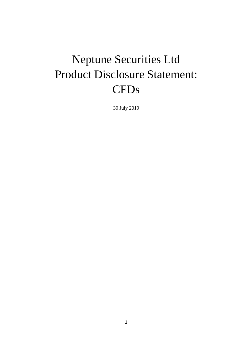# Neptune Securities Ltd Product Disclosure Statement: CFDs

30 July 2019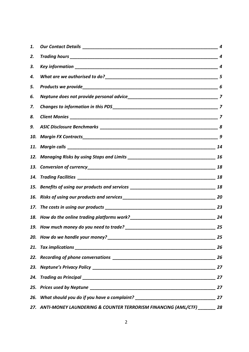| 1. |                                                                                  |    |
|----|----------------------------------------------------------------------------------|----|
| 2. |                                                                                  |    |
| З. |                                                                                  |    |
| 4. |                                                                                  |    |
| 5. |                                                                                  |    |
| 6. |                                                                                  |    |
| 7. |                                                                                  |    |
| 8. |                                                                                  |    |
| 9. |                                                                                  |    |
|    |                                                                                  |    |
|    |                                                                                  | 14 |
|    |                                                                                  |    |
|    |                                                                                  |    |
|    |                                                                                  |    |
|    |                                                                                  |    |
|    |                                                                                  |    |
|    |                                                                                  |    |
|    |                                                                                  |    |
|    |                                                                                  |    |
|    |                                                                                  | 25 |
|    |                                                                                  | 26 |
|    |                                                                                  |    |
|    |                                                                                  |    |
|    |                                                                                  | 27 |
|    |                                                                                  | 27 |
|    | 26. What should you do if you have a complaint? ________________________________ | 27 |
|    | 27. ANTI-MONEY LAUNDERING & COUNTER TERRORISM FINANCING (AML/CTF) _______ 28     |    |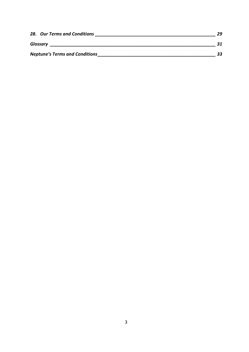| 28. Our Terms and Conditions          | 29 |
|---------------------------------------|----|
| Glossary                              |    |
| <b>Neptune's Terms and Conditions</b> |    |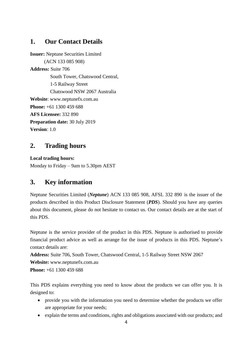# <span id="page-3-0"></span>**1. Our Contact Details**

**Issuer:** Neptune Securities Limited (ACN 133 085 908) **Address:** Suite 706 South Tower, Chatswood Central, 1-5 Railway Street Chatswood NSW 2067 Australia **Website**: www.neptunefx.com.au **Phone:** +61 1300 459 688 **AFS Licensee:** 332 890 **Preparation date:** 30 July 2019 **Version**: 1.0

# <span id="page-3-1"></span>**2. Trading hours**

**Local trading hours:** Monday to Friday – 9am to 5.30pm AEST

# <span id="page-3-2"></span>**3. Key information**

Neptune Securities Limited (*Neptune*) ACN 133 085 908, AFSL 332 890 is the issuer of the products described in this Product Disclosure Statement (*PDS*). Should you have any queries about this document, please do not hesitate to contact us. Our contact details are at the start of this PDS.

Neptune is the service provider of the product in this PDS. Neptune is authorised to provide financial product advice as well as arrange for the issue of products in this PDS. Neptune's contact details are:

**Address:** Suite 706, South Tower, Chatswood Central, 1-5 Railway Street NSW 2067 **Website:** www.neptunefx.com.au **Phone:** +61 1300 459 688

This PDS explains everything you need to know about the products we can offer you. It is designed to:

- provide you with the information you need to determine whether the products we offer are appropriate for your needs;
- explain the terms and conditions, rights and obligations associated with our products; and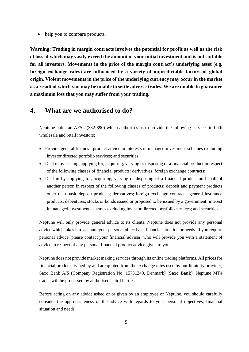• help you to compare products.

**Warning: Trading in margin contracts involves the potential for profit as well as the risk of loss of which may vastly exceed the amount of your initial investment and is not suitable for all investors. Movements in the price of the margin contract's underlying asset (e.g. foreign exchange rates) are influenced by a variety of unpredictable factors of global origin. Violent movements in the price of the underlying currency may occur in the market as a result of which you may be unable to settle adverse trades. We are unable to guarantee a maximum loss that you may suffer from your trading.**

### <span id="page-4-0"></span>**4. What are we authorised to do?**

Neptune holds an AFSL (332 890) which authorises us to provide the following services to both wholesale and retail investors:

- Provide general financial product advice in interests in managed investment schemes excluding investor directed portfolio services; and securities;
- Deal in by issuing, applying for, acquiring, varying or disposing of a financial product in respect of the following classes of financial products: derivatives, foreign exchange contracts;
- Deal in by applying for, acquiring, varying or disposing of a financial product on behalf of another person in respect of the following classes of products: deposit and payment products other than basic deposit products; derivatives; foreign exchange contracts; general insurance products; debentures, stocks or bonds issued or proposed to be issued by a government; interest in managed investment schemes excluding investor directed portfolio services; and securities.

Neptune will only provide general advice to its clients. Neptune does not provide any personal advice which takes into account your personal objectives, financial situation or needs. If you require personal advice, please contact your financial adviser, who will provide you with a statement of advice in respect of any personal financial product advice given to you.

Neptune does not provide market making services through its online trading platforms. All prices for financial products issued by and are quoted from the exchange rates used by our liquidity provider, Saxo Bank A/S (Company Registration No: 15731249, Denmark) (**Saxo Bank**). Neptune MT4 trades will be processed by authorised Third Parties.

Before acting on any advice asked of or given by an employee of Neptune, you should carefully consider the appropriateness of the advice with regards to your personal objectives, financial situation and needs.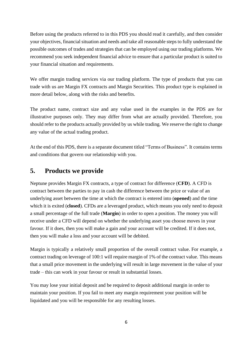Before using the products referred to in this PDS you should read it carefully, and then consider your objectives, financial situation and needs and take all reasonable steps to fully understand the possible outcomes of trades and strategies that can be employed using our trading platforms. We recommend you seek independent financial advice to ensure that a particular product is suited to your financial situation and requirements.

We offer margin trading services via our trading platform. The type of products that you can trade with us are Margin FX contracts and Margin Securities. This product type is explained in more detail below, along with the risks and benefits.

The product name, contract size and any value used in the examples in the PDS are for illustrative purposes only. They may differ from what are actually provided. Therefore, you should refer to the products actually provided by us while trading. We reserve the right to change any value of the actual trading product.

At the end of this PDS, there is a separate document titled "Terms of Business". It contains terms and conditions that govern our relationship with you.

# <span id="page-5-0"></span>**5. Products we provide**

Neptune provides Margin FX contracts, a type of contract for difference (**CFD**). A CFD is contract between the parties to pay in cash the difference between the price or value of an underlying asset between the time at which the contract is entered into (**opened**) and the time which it is exited (**closed**). CFDs are a leveraged product, which means you only need to deposit a small percentage of the full trade (**Margin**) in order to open a position. The money you will receive under a CFD will depend on whether the underlying asset you choose moves in your favour. If it does, then you will make a gain and your account will be credited. If it does not, then you will make a loss and your account will be debited.

Margin is typically a relatively small proportion of the overall contract value. For example, a contract trading on leverage of 100:1 will require margin of 1% of the contract value. This means that a small price movement in the underlying will result in large movement in the value of your trade – this can work in your favour or result in substantial losses.

You may lose your initial deposit and be required to deposit additional margin in order to maintain your position. If you fail to meet any margin requirement your position will be liquidated and you will be responsible for any resulting losses.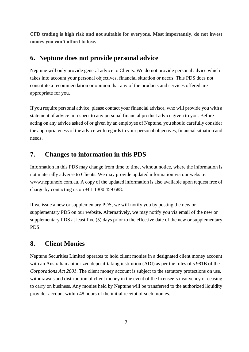**CFD trading is high risk and not suitable for everyone. Most importantly, do not invest money you can't afford to lose.**

# <span id="page-6-0"></span>**6. Neptune does not provide personal advice**

Neptune will only provide general advice to Clients. We do not provide personal advice which takes into account your personal objectives, financial situation or needs. This PDS does not constitute a recommendation or opinion that any of the products and services offered are appropriate for you.

If you require personal advice, please contact your financial advisor, who will provide you with a statement of advice in respect to any personal financial product advice given to you. Before acting on any advice asked of or given by an employee of Neptune, you should carefully consider the appropriateness of the advice with regards to your personal objectives, financial situation and needs.

# <span id="page-6-1"></span>**7. Changes to information in this PDS**

Information in this PDS may change from time to time, without notice, where the information is not materially adverse to Clients. We may provide updated information via our website: www.neptunefx.com.au. A copy of the updated information is also available upon request free of charge by contacting us on  $+61$  1300 459 688.

If we issue a new or supplementary PDS, we will notify you by posting the new or supplementary PDS on our website. Alternatively, we may notify you via email of the new or supplementary PDS at least five (5) days prior to the effective date of the new or supplementary PDS.

# <span id="page-6-2"></span>**8. Client Monies**

Neptune Securities Limited operates to hold client monies in a designated client money account with an Australian authorized deposit-taking institution (ADI) as per the rules of s 981B of the *Corporations Act 2001*. The client money account is subject to the statutory protections on use, withdrawals and distribution of client money in the event of the licensee's insolvency or ceasing to carry on business. Any monies held by Neptune will be transferred to the authorized liquidity provider account within 48 hours of the initial receipt of such monies.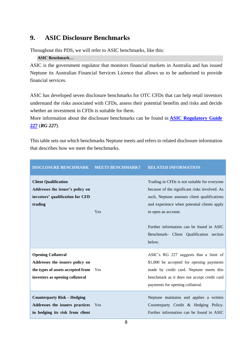# <span id="page-7-0"></span>**9. ASIC Disclosure Benchmarks**

Throughout this PDS, we will refer to ASIC benchmarks, like this:

### **ASIC Benchmark…**

ASIC is the government regulator that monitors financial markets in Australia and has issued Neptune its Australian Financial Services Licence that allows us to be authorised to provide financial services.

ASIC has developed seven disclosure benchmarks for OTC CFDs that can help retail investors understand the risks associated with CFDs, assess their potential benefits and risks and decide whether an investment in CFDs is suitable for them.

More information about the disclosure benchmarks can be found in **[ASIC Regulatory Guide](http://download.asic.gov.au/media/1241444/rg227-published-12-august-2011-1.pdf)  [227](http://download.asic.gov.au/media/1241444/rg227-published-12-august-2011-1.pdf)** (*RG 227*).

This table sets out which benchmarks Neptune meets and refers to related disclosure information that describes how we meet the benchmarks.

| <b>DISCLOSURE BENCHMARK</b>                                                                                                              | <b>MEETS BENCHMARK?</b> | <b>RELATED INFORMATION</b>                                                                                                                                                                                                                                                                                           |
|------------------------------------------------------------------------------------------------------------------------------------------|-------------------------|----------------------------------------------------------------------------------------------------------------------------------------------------------------------------------------------------------------------------------------------------------------------------------------------------------------------|
| <b>Client Qualification</b><br>Addresses the issuer's policy on<br>investors' qualification for CFD<br>trading                           | Yes                     | Trading in CFDs is not suitable for everyone<br>because of the significant risks involved. As<br>such, Neptune assesses client qualifications<br>and experience when potential clients apply<br>to open an account.<br>Further information can be found in ASIC<br>Benchmark- Client Qualification section<br>below. |
| <b>Opening Collateral</b><br>Addresses the issuers policy on<br>the types of assets accepted from Yes<br>investors as opening collateral |                         | ASIC's RG 227 suggests that a limit of<br>\$1,000 be accepted for opening payments<br>made by credit card. Neptune meets this<br>benchmark as it does not accept credit card<br>payments for opening collateral.                                                                                                     |
| <b>Counterparty Risk – Hedging</b><br>Addresses the issuers practices<br>in hedging its risk from client                                 | Yes                     | Neptune maintains and applies a written<br>Counterparty Credit & Hedging Policy.<br>Further information can be found in ASIC                                                                                                                                                                                         |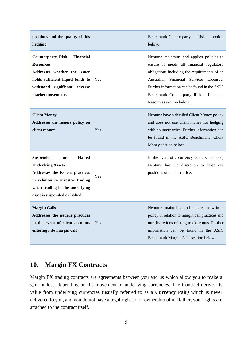| positions and the quality of this<br>hedging                                                                                                                                                                |     | <b>Benchmark-Counterparty</b><br><b>Risk</b><br>section<br>below.                                                                                                                                                                                                                                       |
|-------------------------------------------------------------------------------------------------------------------------------------------------------------------------------------------------------------|-----|---------------------------------------------------------------------------------------------------------------------------------------------------------------------------------------------------------------------------------------------------------------------------------------------------------|
| Counterparty Risk - Financial<br><b>Resources</b><br>Addresses whether the issuer<br>holds sufficient liquid funds to<br>withstand significant adverse<br>market movements                                  | Yes | Neptune maintains and applies policies to<br>ensure it meets all financial regulatory<br>obligations including the requirements of an<br>Australian Financial Services Licensee.<br>Further information can be found in the ASIC<br>Benchmark Counterparty Risk - Financial<br>Resources section below. |
| <b>Client Money</b><br>Addresses the issuers policy on<br>client money                                                                                                                                      | Yes | Neptune have a detailed Client Money policy<br>and does not use client money for hedging<br>with counterparties. Further information can<br>be found in the ASIC Benchmark- Client<br>Money section below.                                                                                              |
| <b>Halted</b><br><b>Suspended</b><br>or<br><b>Underlying Assets</b><br>Addresses the issuers practices<br>in relation to investor trading<br>when trading in the underlying<br>asset is suspended or halted | Yes | In the event of a currency being suspended,<br>Neptune has the discretion to close out<br>positions on the last price.                                                                                                                                                                                  |
| <b>Margin Calls</b><br>Addresses the issuers practices<br>in the event of client accounts<br>entering into margin call                                                                                      | Yes | Neptune maintains and applies a written<br>policy in relation to margin call practices and<br>our discretions relating to close outs. Further<br>information can be found in the ASIC<br>Benchmark Margin Calls section below.                                                                          |

# <span id="page-8-0"></span>**10. Margin FX Contracts**

Margin FX trading contracts are agreements between you and us which allow you to make a gain or loss, depending on the movement of underlying currencies. The Contract derives its value from underlying currencies (usually referred to as a **Currency Pair***)* which is never delivered to you, and you do not have a legal right to, or ownership of it. Rather, your rights are attached to the contract itself.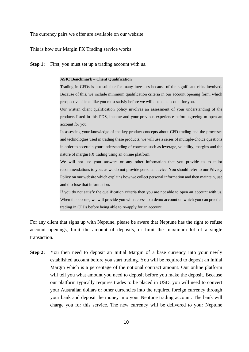The currency pairs we offer are available on our website.

This is how our Margin FX Trading service works:

**Step 1:** First, you must set up a trading account with us.

#### **ASIC Benchmark – Client Qualification**

Trading in CFDs is not suitable for many investors because of the significant risks involved. Because of this, we include minimum qualification criteria in our account opening form, which prospective clients like you must satisfy before we will open an account for you.

Our written client qualification policy involves an assessment of your understanding of the products listed in this PDS, income and your previous experience before agreeing to open an account for you.

In assessing your knowledge of the key product concepts about CFD trading and the processes and technologies used in trading these products, we will use a series of multiple-choice questions in order to ascertain your understanding of concepts such as leverage, volatility, margins and the nature of margin FX trading using an online platform.

We will not use your answers or any other information that you provide us to tailor recommendations to you, as we do not provide personal advice. You should refer to our Privacy Policy on our website which explains how we collect personal information and then maintain, use and disclose that information.

If you do not satisfy the qualification criteria then you are not able to open an account with us. When this occurs, we will provide you with access to a demo account on which you can practice trading in CFDs before being able to re-apply for an account.

For any client that signs up with Neptune, please be aware that Neptune has the right to refuse account openings, limit the amount of deposits, or limit the maximum lot of a single transaction.

**Step 2:** You then need to deposit an Initial Margin of a base currency into your newly established account before you start trading. You will be required to deposit an Initial Margin which is a percentage of the notional contract amount. Our online platform will tell you what amount you need to deposit before you make the deposit. Because our platform typically requires trades to be placed in USD, you will need to convert your Australian dollars or other currencies into the required foreign currency through your bank and deposit the money into your Neptune trading account. The bank will charge you for this service. The new currency will be delivered to your Neptune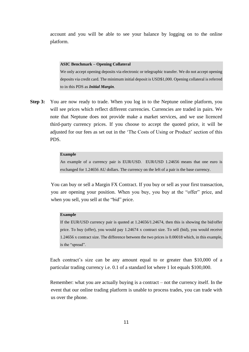account and you will be able to see your balance by logging on to the online platform.

#### **ASIC Benchmark – Opening Collateral**

We only accept opening deposits via electronic or telegraphic transfer. We do not accept opening deposits via credit card. The minimum initial deposit is USD\$1,000. Opening collateral is referred to in this PDS as *Initial Margin*.

**Step 3:** You are now ready to trade. When you log in to the Neptune online platform, you will see prices which reflect different currencies. Currencies are traded in pairs. We note that Neptune does not provide make a market services, and we use licenced third-party currency prices. If you choose to accept the quoted price, it will be adjusted for our fees as set out in the 'The Costs of Using or Product' section of this PDS.

#### **Example**

An example of a currency pair is EUR/USD. EUR/USD 1.24656 means that one euro is exchanged for 1.24656 AU dollars. The currency on the left of a pair is the base currency.

You can buy or sell a Margin FX Contract. If you buy or sell as your first transaction, you are opening your position. When you buy, you buy at the "offer" price, and when you sell, you sell at the "bid" price.

#### **Example**

If the EUR/USD currency pair is quoted at 1.24656/1.24674, then this is showing the bid/offer price. To buy (offer), you would pay 1.24674 x contract size. To sell (bid), you would receive 1.24656 x contract size. The difference between the two prices is 0.00018 which, in this example, is the "spread".

Each contract's size can be any amount equal to or greater than \$10,000 of a particular trading currency i.e. 0.1 of a standard lot where 1 lot equals \$100,000.

Remember: what you are actually buying is a contract – not the currency itself. In the event that our online trading platform is unable to process trades, you can trade with us over the phone.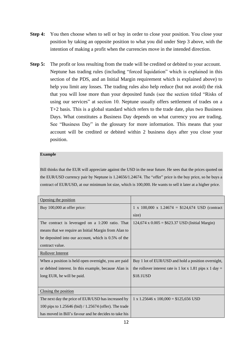- **Step 4:** You then choose when to sell or buy in order to close your position. You close your position by taking an opposite position to what you did under Step 3 above, with the intention of making a profit when the currencies move in the intended direction.
- **Step 5:** The profit or loss resulting from the trade will be credited or debited to your account. Neptune has trading rules (including "forced liquidation" which is explained in this section of the PDS, and an Initial Margin requirement which is explained above) to help you limit any losses. The trading rules also help reduce (but not avoid) the risk that you will lose more than your deposited funds (see the section titled "Risks of using our services" at section 10. Neptune usually offers settlement of trades on a T+2 basis. This is a global standard which refers to the trade date, plus two Business Days. What constitutes a Business Day depends on what currency you are trading. See "Business Day" in the glossary for more information. This means that your account will be credited or debited within 2 business days after you close your position.

#### **Example**

Bill thinks that the EUR will appreciate against the USD in the near future. He sees that the prices quoted on the EUR/USD currency pair by Neptune is 1.24656/1.24674. The "offer" price is the buy price, so he buys a contract of EUR/USD, at our minimum lot size, which is 100,000. He wants to sell it later at a higher price.

| Opening the position                                   |                                                           |
|--------------------------------------------------------|-----------------------------------------------------------|
| Buy 100,000 at offer price:                            | 1 x 100,000 x 1.24674 = $$124,674$ USD (contract          |
|                                                        | size)                                                     |
| The contract is leveraged on a 1:200 ratio. That       | $124,674 \times 0.005 = $623.37$ USD (Initial Margin)     |
| means that we require an Initial Margin from Alan to   |                                                           |
| be deposited into our account, which is 0.5% of the    |                                                           |
| contract value.                                        |                                                           |
| <b>Rollover Interest</b>                               |                                                           |
| When a position is held open overnight, you are paid   | Buy 1 lot of EUR/USD and hold a position overnight,       |
| or debited interest. In this example, because Alan is  | the rollover interest rate is 1 lot x 1.81 pips x 1 day = |
| long EUR, he will be paid.                             | \$18.1USD                                                 |
|                                                        |                                                           |
| Closing the position                                   |                                                           |
| The next day the price of EUR/USD has increased by     | $1 \times 1.25646 \times 100,000 = $125,656 \text{ USD}$  |
| 100 pips to 1.25646 (bid) / 1.25674 (offer). The trade |                                                           |
| has moved in Bill's favour and he decides to take his  |                                                           |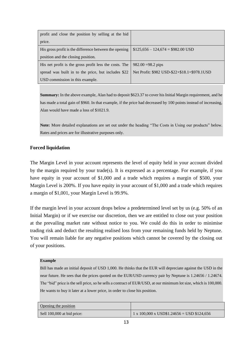| profit and close the position by selling at the bid    |                                              |
|--------------------------------------------------------|----------------------------------------------|
| price.                                                 |                                              |
| His gross profit is the difference between the opening | $$125,656 - 124,674 = $982.00$ USD           |
| position and the closing position.                     |                                              |
| His net profit is the gross profit less the costs. The | $982.00 = 98.2$ pips                         |
| spread was built in to the price, but includes \$22    | Net Profit: \$982 USD-\$22+\$18.1=\$978.1USD |
| USD commission in this example.                        |                                              |

**Summary:** In the above example, Alan had to deposit \$623.37 to cover his Initial Margin requirement, and he has made a total gain of \$960. In that example, if the price had decreased by 100 points instead of increasing, Alan would have made a loss of \$1021.9.

**Note:** More detailed explanations are set out under the heading "The Costs in Using our products" below. Rates and prices are for illustrative purposes only.

### **Forced liquidation**

The Margin Level in your account represents the level of equity held in your account divided by the margin required by your trade(s). It is expressed as a percentage. For example, if you have equity in your account of \$1,000 and a trade which requires a margin of \$500, your Margin Level is 200%. If you have equity in your account of \$1,000 and a trade which requires a margin of \$1,001, your Margin Level is 99.9%.

If the margin level in your account drops below a predetermined level set by us (e.g. 50% of an Initial Margin) or if we exercise our discretion, then we are entitled to close out your position at the prevailing market rate without notice to you. We could do this in order to minimise trading risk and deduct the resulting realised loss from your remaining funds held by Neptune. You will remain liable for any negative positions which cannot be covered by the closing out of your positions.

#### **Example**

Bill has made an initial deposit of USD 1,000. He thinks that the EUR will depreciate against the USD in the near future. He sees that the prices quoted on the EUR/USD currency pair by Neptune is 1.24656 / 1.24674. The "bid" price is the sell price, so he sells a contract of EUR/USD, at our minimum lot size, which is 100,000. He wants to buy it later at a lower price, in order to close his position.

| Opening the position       |                                                                |
|----------------------------|----------------------------------------------------------------|
| Sell 100,000 at bid price: | $1 \times 100,000 \times \text{USD}$ \$1.24656 = USD \$124,656 |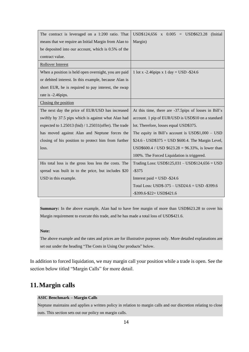| The contract is leveraged on a 1:200 ratio. That           | $USD$124,656$ x $0.005$ = $USD$623.28$ (Initial       |
|------------------------------------------------------------|-------------------------------------------------------|
| means that we require an Initial Margin from Alan to       | Margin)                                               |
| be deposited into our account, which is 0.5% of the        |                                                       |
| contract value.                                            |                                                       |
| Rollover Interest                                          |                                                       |
| When a position is held open overnight, you are paid       | 1 lot x -2.46 pips x 1 day = USD -\$24.6              |
| or debited interest. In this example, because Alan is      |                                                       |
| short EUR, he is required to pay interest, the swap        |                                                       |
| rate is -2.46pips.                                         |                                                       |
| Closing the position                                       |                                                       |
| The next day the price of EUR/USD has increased            | At this time, there are -37.5pips of losses in Bill's |
| swiftly by 37.5 pips which is against what Alan had        | account. 1 pip of EUR/USD is USD\$10 on a standard    |
| expected to $1.25013$ (bid) / $1.25031$ (offer). The trade | lot. Therefore, losses equal USD\$375.                |
| has moved against Alan and Neptune forces the              | The equity in Bill's account is $USD$1,000 - USD$     |
| closing of his position to protect him from further        | $$24.6 - USD$375 = USD $600.4$ . The Margin Level,    |
| loss.                                                      | USD\$600.4 / USD \$623.28 = 96.33%, is lower than     |
|                                                            | 100%. The Forced Liquidation is triggered.            |
| His total loss is the gross loss less the costs. The       | Trading Loss: $USD$125,031 - USD$124,656 = USD$       |
| spread was built in to the price, but includes \$20        | $-$ \$375                                             |
| USD in this example.                                       | Interest paid = $USD - $24.6$                         |
|                                                            | Total Loss: $USD\$ -375 – $USD24.6 = USD -$ \$399.6   |
|                                                            | $-$ \$399.6-\$22= USD\$421.6                          |

**Summary:** In the above example, Alan had to have free margin of more than USD\$623.28 to cover his Margin requirement to execute this trade, and he has made a total loss of USD\$421.6.

#### **Note:**

The above example and the rates and prices are for illustrative purposes only. More detailed explanations are set out under the heading "The Costs in Using Our products" below.

In addition to forced liquidation, we may margin call your position while a trade is open. See the section below titled "Margin Calls" for more detail.

# <span id="page-13-0"></span>**11.Margin calls**

#### **ASIC Benchmark – Margin Calls**

Neptune maintains and applies a written policy in relation to margin calls and our discretion relating to close outs. This section sets out our policy on margin calls.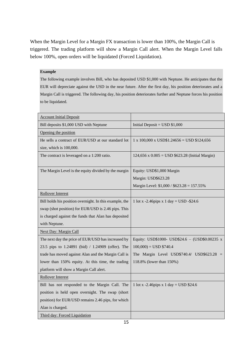When the Margin Level for a Margin FX transaction is lower than 100%, the Margin Call is triggered. The trading platform will show a Margin Call alert. When the Margin Level falls below 100%, open orders will be liquidated (Forced Liquidation).

### **Example**

The following example involves Bill, who has deposited USD \$1,000 with Neptune. He anticipates that the EUR will depreciate against the USD in the near future. After the first day, his position deteriorates and a Margin Call is triggered. The following day, his position deteriorates further and Neptune forces his position to be liquidated.

| <b>Account Initial Deposit</b>                          |                                                                      |
|---------------------------------------------------------|----------------------------------------------------------------------|
| Bill deposits \$1,000 USD with Neptune                  | Initial Deposit = $USD $1,000$                                       |
| Opening the position                                    |                                                                      |
| He sells a contract of EUR/USD at our standard lot      | $1 \times 100,000 \times \text{USD\$1.24656} = \text{USD \$124,656}$ |
| size, which is 100,000.                                 |                                                                      |
| The contract is leveraged on a 1:200 ratio.             | 124,656 x $0.005 =$ USD \$623.28 (Initial Margin)                    |
|                                                         |                                                                      |
| The Margin Level is the equity divided by the margin    | Equity: USD\$1,000 Margin                                            |
|                                                         | Margin: USD\$623.28                                                  |
|                                                         | Margin Level: \$1,000 / \$623.28 = 157.55%                           |
| <b>Rollover Interest</b>                                |                                                                      |
| Bill holds his position overnight. In this example, the | 1 lot x -2.46 pips x 1 day = $USD - $24.6$                           |
| swap (shot position) for EUR/USD is 2.46 pips. This     |                                                                      |
| is charged against the funds that Alan has deposited    |                                                                      |
| with Neptune.                                           |                                                                      |
| <b>Next Day: Margin Call</b>                            |                                                                      |
| The next day the price of EUR/USD has increased by      | Equity: USD\$1000- USD\$24.6 - (USD\$0.00235 x                       |
| 23.5 pips to 1.24891 (bid) / 1.24909 (offer). The       | $100,000$ = USD \$740.4                                              |
| trade has moved against Alan and the Margin Call is     | The Margin Level USD\$740.4/ USD\$623.28                             |
| lower than 150% equity. At this time, the trading       | 118.8% (lower than 150%)                                             |
| platform will show a Margin Call alert.                 |                                                                      |
| <b>Rollover Interest</b>                                |                                                                      |
| Bill has not responded to the Margin Call. The          | 1 lot x -2.46pips x 1 day = USD \$24.6                               |
| position is held open overnight. The swap (short        |                                                                      |
| position) for EUR/USD remains 2.46 pips, for which      |                                                                      |
| Alan is charged.                                        |                                                                      |
| Third day: Forced Liquidation                           |                                                                      |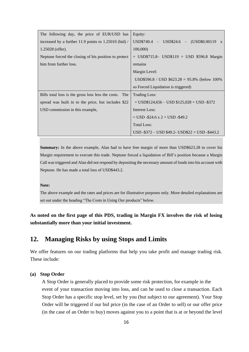| The following day, the price of EUR/USD has            | Equity:                                        |
|--------------------------------------------------------|------------------------------------------------|
| increased by a further 11.9 points to 1.25010 (bid) /  | $USD$740.4 - USD$24.6 - (USD$0.00119 x$        |
| $1.25028$ (offer).                                     | 100,000                                        |
| Neptune forced the closing of his position to protect  | $=$ USD\$715.8– USD\$119 = USD \$596.8 Margin  |
| him from further loss.                                 | remains                                        |
|                                                        | Margin Level:                                  |
|                                                        | USD\$596.8 / USD \$623.28 = 95.8% (below 100%) |
|                                                        | so Forced Liquidation is triggered)            |
| Bills total loss is the gross loss less the costs. The |                                                |
|                                                        | <b>Trading Loss:</b>                           |
| spread was built in to the price, but includes \$22    | $=$ USD\$124,656 – USD \$125,028 = USD -\$372  |
| USD commission in this example,                        | Interest Loss:                                 |
|                                                        | $=$ USD -\$24.6 x 2 = USD -\$49.2              |
|                                                        | <b>Total Loss:</b>                             |

**Summary:** In the above example, Alan had to have free margin of more than USD\$623.28 to cover his Margin requirement to execute this trade. Neptune forced a liquidation of Bill's position because a Margin Call was triggered and Alan did not respond by depositing the necessary amount of funds into his account with Neptune. He has made a total loss of USD\$443.2.

#### **Note:**

The above example and the rates and prices are for illustrative purposes only. More detailed explanations are set out under the heading "The Costs in Using Our products" below.

**As noted on the first page of this PDS, trading in Margin FX involves the risk of losing substantially more than your initial investment.** 

# <span id="page-15-0"></span>**12. Managing Risks by using Stops and Limits**

We offer features on our trading platforms that help you take profit and manage trading risk. These include:

#### **(a) Stop Order**

A Stop Order is generally placed to provide some risk protection, for example in the event of your transaction moving into loss, and can be used to close a transaction. Each Stop Order has a specific stop level, set by you (but subject to our agreement). Your Stop Order will be triggered if our bid price (in the case of an Order to sell) or our offer price (in the case of an Order to buy) moves against you to a point that is at or beyond the level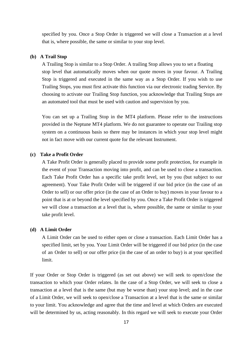specified by you. Once a Stop Order is triggered we will close a Transaction at a level that is, where possible, the same or similar to your stop level.

#### **(b) A Trail Stop**

A Trailing Stop is similar to a Stop Order. A trailing Stop allows you to set a floating stop level that automatically moves when our quote moves in your favour. A Trailing Stop is triggered and executed in the same way as a Stop Order. If you wish to use Trailing Stops, you must first activate this function via our electronic trading Service. By choosing to activate our Trailing Stop function, you acknowledge that Trailing Stops are an automated tool that must be used with caution and supervision by you.

You can set up a Trailing Stop in the MT4 platform. Please refer to the instructions provided in the Neptune MT4 platform. We do not guarantee to operate our Trailing stop system on a continuous basis so there may be instances in which your stop level might not in fact move with our current quote for the relevant Instrument.

### **(c) Take a Profit Order**

A Take Profit Order is generally placed to provide some profit protection, for example in the event of your Transaction moving into profit, and can be used to close a transaction. Each Take Profit Order has a specific take profit level, set by you (but subject to our agreement). Your Take Profit Order will be triggered if our bid price (in the case of an Order to sell) or our offer price (in the case of an Order to buy) moves in your favour to a point that is at or beyond the level specified by you. Once a Take Profit Order is triggered we will close a transaction at a level that is, where possible, the same or similar to your take profit level.

#### **(d) A Limit Order**

A Limit Order can be used to either open or close a transaction. Each Limit Order has a specified limit, set by you. Your Limit Order will be triggered if our bid price (in the case of an Order to sell) or our offer price (in the case of an order to buy) is at your specified limit.

If your Order or Stop Order is triggered (as set out above) we will seek to open/close the transaction to which your Order relates. In the case of a Stop Order, we will seek to close a transaction at a level that is the same (but may be worse than) your stop level; and in the case of a Limit Order, we will seek to open/close a Transaction at a level that is the same or similar to your limit. You acknowledge and agree that the time and level at which Orders are executed will be determined by us, acting reasonably. In this regard we will seek to execute your Order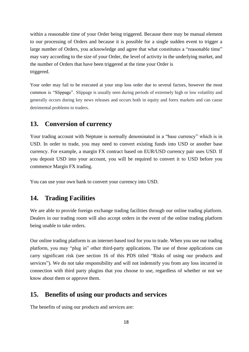within a reasonable time of your Order being triggered. Because there may be manual element to our processing of Orders and because it is possible for a single sudden event to trigger a large number of Orders, you acknowledge and agree that what constitutes a "reasonable time" may vary according to the size of your Order, the level of activity in the underlying market, and the number of Orders that have been triggered at the time your Order is triggered.

Your order may fail to be executed at your stop loss order due to several factors, however the most common is "Slippage". Slippage is usually seen during periods of extremely high or low volatility and generally occurs during key news releases and occurs both in equity and forex markets and can cause detrimental problems to traders.

# <span id="page-17-0"></span>**13. Conversion of currency**

Your trading account with Neptune is normally denominated in a "base currency" which is in USD. In order to trade, you may need to convert existing funds into USD or another base currency. For example, a margin FX contract based on EUR/USD currency pair uses USD. If you deposit USD into your account, you will be required to convert it to USD before you commence Margin FX trading.

<span id="page-17-1"></span>You can use your own bank to convert your currency into USD.

### **14. Trading Facilities**

We are able to provide foreign exchange trading facilities through our online trading platform. Dealers in our trading room will also accept orders in the event of the online trading platform being unable to take orders.

Our online trading platform is an internet-based tool for you to trade. When you use our trading platform, you may "plug in" other third-party applications. The use of those applications can carry significant risk (see section [16](#page-19-0) of this PDS titled "Risks of using our products and services"). We do not take responsibility and will not indemnify you from any loss incurred in connection with third party plugins that you choose to use, regardless of whether or not we know about them or approve them.

### <span id="page-17-2"></span>**15. Benefits of using our products and services**

The benefits of using our products and services are: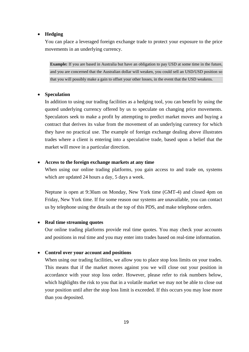#### • **Hedging**

You can place a leveraged foreign exchange trade to protect your exposure to the price movements in an underlying currency.

**Example:** If you are based in Australia but have an obligation to pay USD at some time in the future, and you are concerned that the Australian dollar will weaken, you could sell an USD/USD position so that you will possibly make a gain to offset your other losses, in the event that the USD weakens.

#### • **Speculation**

In addition to using our trading facilities as a hedging tool, you can benefit by using the quoted underlying currency offered by us to speculate on changing price movements. Speculators seek to make a profit by attempting to predict market moves and buying a contract that derives its value from the movement of an underlying currency for which they have no practical use. The example of foreign exchange dealing above illustrates trades where a client is entering into a speculative trade, based upon a belief that the market will move in a particular direction.

### • **Access to the foreign exchange markets at any time**

When using our online trading platforms, you gain access to and trade on, systems which are updated 24 hours a day, 5 days a week.

Neptune is open at 9:30am on Monday, New York time (GMT-4) and closed 4pm on Friday, New York time. If for some reason our systems are unavailable, you can contact us by telephone using the details at the top of this PDS, and make telephone orders.

#### • **Real time streaming quotes**

Our online trading platforms provide real time quotes. You may check your accounts and positions in real time and you may enter into trades based on real-time information.

#### • **Control over your account and positions**

When using our trading facilities, we allow you to place stop loss limits on your trades. This means that if the market moves against you we will close out your position in accordance with your stop loss order. However, please refer to risk numbers below, which highlights the risk to you that in a volatile market we may not be able to close out your position until after the stop loss limit is exceeded. If this occurs you may lose more than you deposited.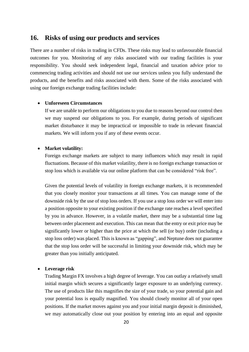### <span id="page-19-0"></span>**16. Risks of using our products and services**

There are a number of risks in trading in CFDs. These risks may lead to unfavourable financial outcomes for you. Monitoring of any risks associated with our trading facilities is your responsibility. You should seek independent legal, financial and taxation advice prior to commencing trading activities and should not use our services unless you fully understand the products, and the benefits and risks associated with them. Some of the risks associated with using our foreign exchange trading facilities include:

#### • **Unforeseen Circumstances**

If we are unable to perform our obligations to you due to reasons beyond our control then we may suspend our obligations to you. For example, during periods of significant market disturbance it may be impractical or impossible to trade in relevant financial markets. We will inform you if any of these events occur.

### • **Market volatility:**

Foreign exchange markets are subject to many influences which may result in rapid fluctuations. Because of this market volatility, there is no foreign exchange transaction or stop loss which is available via our online platform that can be considered "risk free".

Given the potential levels of volatility in foreign exchange markets, it is recommended that you closely monitor your transactions at all times. You can manage some of the downside risk by the use of stop loss orders. If you use a stop loss order we will enter into a position opposite to your existing position if the exchange rate reaches a level specified by you in advance. However, in a volatile market, there may be a substantial time lag between order placement and execution. This can mean that the entry or exit price may be significantly lower or higher than the price at which the sell (or buy) order (including a stop loss order) was placed. This is known as "gapping", and Neptune does not guarantee that the stop loss order will be successful in limiting your downside risk, which may be greater than you initially anticipated.

#### • **Leverage risk**

Trading Margin FX involves a high degree of leverage. You can outlay a relatively small initial margin which secures a significantly larger exposure to an underlying currency. The use of products like this magnifies the size of your trade, so your potential gain and your potential loss is equally magnified. You should closely monitor all of your open positions. If the market moves against you and your initial margin deposit is diminished, we may automatically close out your position by entering into an equal and opposite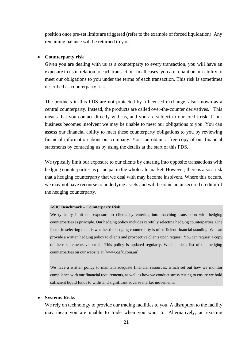position once pre-set limits are triggered (refer to the example of forced liquidation). Any remaining balance will be returned to you.

#### • **Counterparty risk**

Given you are dealing with us as a counterparty to every transaction, you will have an exposure to us in relation to each transaction. In all cases, you are reliant on our ability to meet our obligations to you under the terms of each transaction. This risk is sometimes described as counterparty risk.

The products in this PDS are not protected by a licensed exchange, also known as a central counterparty. Instead, the products are called over-the-counter derivatives. This means that you contact directly with us, and you are subject to our credit risk. If our business becomes insolvent we may be unable to meet our obligations to you. You can assess our financial ability to meet these counterparty obligations to you by reviewing financial information about our company. You can obtain a free copy of our financial statements by contacting us by using the details at the start of this PDS.

We typically limit our exposure to our clients by entering into opposite transactions with hedging counterparties as principal in the wholesale market. However, there is also a risk that a hedging counterparty that we deal with may become insolvent. Where this occurs, we may not have recourse to underlying assets and will become an unsecured creditor of the hedging counterparty.

#### **ASIC Benchmark – Counterparty Risk**

We typically limit our exposure to clients by entering into matching transaction with hedging counterparties as principle. Our hedging policy includes carefully selecting hedging counterparties. One factor in selecting them is whether the hedging counterparty is of sufficient financial standing. We can provide a written hedging policy to clients and prospective clients upon request. You can request a copy of these statements via email. This policy is updated regularly. We include a list of our hedging counterparties on our website at [www.ogfx.com.au].

We have a written policy to maintain adequate financial resources, which set out how we monitor compliance with our financial requirements, as well as how we conduct stress testing to ensure we hold sufficient liquid funds to withstand significant adverse market movements.

#### • **Systems Risks**

We rely on technology to provide our trading facilities to you. A disruption to the facility may mean you are unable to trade when you want to. Alternatively, an existing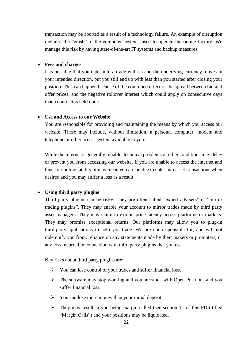transaction may be aborted as a result of a technology failure. An example of disruption includes the "crash" of the computer systems used to operate the online facility. We manage this risk by having state-of-the-art IT systems and backup measures.

#### • **Fees and charges**

It is possible that you enter into a trade with us and the underlying currency moves in your intended direction, but you still end up with less than you started after closing your position. This can happen because of the combined effect of the spread between bid and offer prices, and the negative rollover interest which could apply on consecutive days that a contract is held open.

### • **Use and Access to our Website**

You are responsible for providing and maintaining the means by which you access our website. These may include, without limitation, a personal computer, modem and telephone or other access system available to you.

While the internet is generally reliable, technical problems or other conditions may delay or prevent you from accessing our website. If you are unable to access the internet and thus, our online facility, it may mean you are unable to enter into asset transactions when desired and you may suffer a loss as a result.

#### • **Using third party plugins**

Third party plugins can be risky. They are often called "expert advisers" or "mirror trading plugins". They may enable your account to mirror trades made by third party asset managers. They may claim to exploit price latency across platforms or markets. They may promise exceptional returns. Our platforms may allow you to plug-in third-party applications to help you trade. We are not responsible for, and will not indemnify you from, reliance on any statements made by their makers or promoters, or any loss incurred in connection with third party plugins that you use.

Key risks about third party plugins are:

- ➢ You can lose control of your trades and suffer financial loss.
- ➢ The software may stop working and you are stuck with Open Positions and you suffer financial loss.
- ➢ You can lose more money than your initial deposit.
- ➢ They may result in you being margin called (see section [11](#page-13-0) of this PDS titled "Margin Calls") and your positions may be liquidated.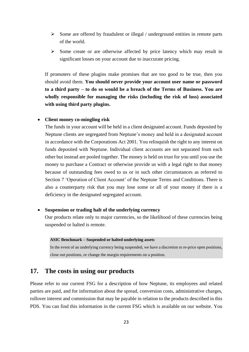- ➢ Some are offered by fraudulent or illegal / underground entities in remote parts of the world.
- ➢ Some create or are otherwise affected by price latency which may result in significant losses on your account due to inaccurate pricing.

If promoters of these plugins make promises that are too good to be true, then you should avoid them. **You should never provide your account user name or password to a third party – to do so would be a breach of the Terms of Business. You are wholly responsible for managing the risks (including the risk of loss) associated with using third party plugins.**

#### • **Client money co-mingling risk**

The funds in your account will be held in a client designated account. Funds deposited by Neptune clients are segregated from Neptune's money and held in a designated account in accordance with the Corporations Act 2001. You relinquish the right to any interest on funds deposited with Neptune. Individual client accounts are not separated from each other but instead are pooled together. The money is held on trust for you until you use the money to purchase a Contract or otherwise provide us with a legal right to that money because of outstanding fees owed to us or in such other circumstances as referred to Section [7](#page-39-0) 'Operation of Client Account' of the Neptune Terms and Conditions. There is also a counterparty risk that you may lose some or all of your money if there is a deficiency in the designated segregated account.

#### • **Suspension or trading halt of the underlying currency**

Our products relate only to major currencies, so the likelihood of these currencies being suspended or halted is remote.

#### **ASIC Benchmark – Suspended or halted underlying assets**

In the event of an underlying currency being suspended, we have a discretion to re-price open positions, close out positions, or change the margin requirements on a position.

### <span id="page-22-0"></span>**17. The costs in using our products**

Please refer to our current FSG for a description of how Neptune, its employees and related parties are paid, and for information about the spread, conversion costs, administrative charges, rollover interest and commission that may be payable in relation to the products described in this PDS. You can find this information in the current FSG which is available on our website. You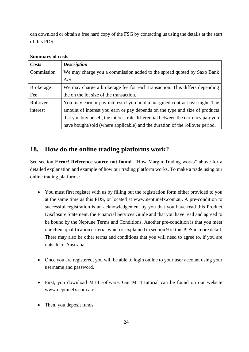can download or obtain a free hard copy of the FSG by contacting us using the details at the start of this PDS.

| Costs                                                                                | <b>Description</b>                                                                 |
|--------------------------------------------------------------------------------------|------------------------------------------------------------------------------------|
| Commission<br>We may charge you a commission added to the spread quoted by Saxo Bank |                                                                                    |
|                                                                                      | A/S                                                                                |
| <b>Brokerage</b>                                                                     | We may charge a brokerage fee for each transaction. This differs depending         |
| Fee                                                                                  | the on the lot size of the transaction.                                            |
| Rollover                                                                             | You may earn or pay interest if you hold a margined contract overnight. The        |
| interest                                                                             | amount of interest you earn or pay depends on the type and size of products        |
|                                                                                      | that you buy or sell, the interest rate differential between the currency pair you |
|                                                                                      | have bought/sold (where applicable) and the duration of the rollover period.       |

### **Summary of costs**

# <span id="page-23-0"></span>**18. How do the online trading platforms work?**

See section **Error! Reference source not found.** "How Margin Trading works" above for a detailed explanation and example of how our trading platform works. To make a trade using our online trading platforms:

- You must first register with us by filling out the registration form either provided to you at the same time as this PDS, or located at www.neptunefx.com.au. A pre-condition to successful registration is an acknowledgement by you that you have read this Product Disclosure Statement, the Financial Services Guide and that you have read and agreed to be bound by the Neptune Terms and Conditions. Another pre-condition is that you meet our client qualification criteria, which is explained in sectio[n 9](#page-7-0) of this PDS in more detail. There may also be other terms and conditions that you will need to agree to, if you are outside of Australia.
- Once you are registered, you will be able to login online to your user account using your username and password.
- First, you download MT4 software. Our MT4 tutorial can be found on our website www.neptunefx.com.au:
- Then, you deposit funds.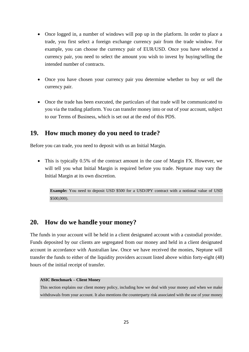- Once logged in, a number of windows will pop up in the platform. In order to place a trade, you first select a foreign exchange currency pair from the trade window. For example, you can choose the currency pair of EUR/USD. Once you have selected a currency pair, you need to select the amount you wish to invest by buying/selling the intended number of contracts.
- Once you have chosen your currency pair you determine whether to buy or sell the currency pair.
- Once the trade has been executed, the particulars of that trade will be communicated to you via the trading platform. You can transfer money into or out of your account, subject to our Terms of Business, which is set out at the end of this PDS.

## <span id="page-24-0"></span>**19. How much money do you need to trade?**

Before you can trade, you need to deposit with us an Initial Margin.

• This is typically 0.5% of the contract amount in the case of Margin FX. However, we will tell you what Initial Margin is required before you trade. Neptune may vary the Initial Margin at its own discretion.

**Example:** You need to deposit USD \$500 for a USD/JPY contract with a notional value of USD \$500,000).

## <span id="page-24-1"></span>**20. How do we handle your money?**

The funds in your account will be held in a client designated account with a custodial provider. Funds deposited by our clients are segregated from our money and held in a client designated account in accordance with Australian law. Once we have received the monies, Neptune will transfer the funds to either of the liquidity providers account listed above within forty-eight (48) hours of the initial receipt of transfer.

#### **ASIC Benchmark – Client Money**

This section explains our client money policy, including how we deal with your money and when we make withdrawals from your account. It also mentions the counterparty risk associated with the use of your money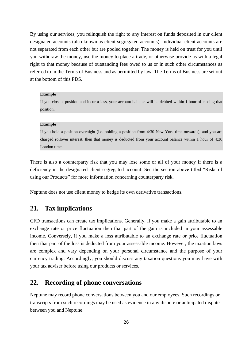By using our services, you relinquish the right to any interest on funds deposited in our client designated accounts (also known as client segregated accounts). Individual client accounts are not separated from each other but are pooled together. The money is held on trust for you until you withdraw the money, use the money to place a trade, or otherwise provide us with a legal right to that money because of outstanding fees owed to us or in such other circumstances as referred to in the Terms of Business and as permitted by law. The Terms of Business are set out at the bottom of this PDS.

#### **Example**

If you close a position and incur a loss, your account balance will be debited within 1 hour of closing that position.

#### **Example**

If you hold a position overnight (i.e. holding a position from 4:30 New York time onwards), and you are charged rollover interest, then that money is deducted from your account balance within 1 hour of 4:30 London time.

There is also a counterparty risk that you may lose some or all of your money if there is a deficiency in the designated client segregated account. See the section above titled "Risks of using our Products" for more information concerning counterparty risk.

<span id="page-25-0"></span>Neptune does not use client money to hedge its own derivative transactions.

# **21. Tax implications**

CFD transactions can create tax implications. Generally, if you make a gain attributable to an exchange rate or price fluctuation then that part of the gain is included in your assessable income. Conversely, if you make a loss attributable to an exchange rate or price fluctuation then that part of the loss is deducted from your assessable income. However, the taxation laws are complex and vary depending on your personal circumstance and the purpose of your currency trading. Accordingly, you should discuss any taxation questions you may have with your tax adviser before using our products or services.

### <span id="page-25-1"></span>**22. Recording of phone conversations**

Neptune may record phone conversations between you and our employees. Such recordings or transcripts from such recordings may be used as evidence in any dispute or anticipated dispute between you and Neptune.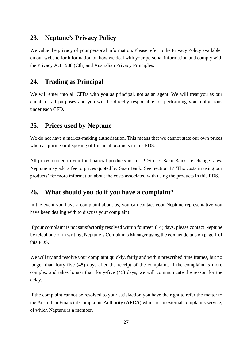# <span id="page-26-0"></span>**23. Neptune's Privacy Policy**

We value the privacy of your personal information. Please refer to the Privacy Policy available on our website for information on how we deal with your personal information and comply with the Privacy Act 1988 (Cth) and Australian Privacy Principles.

# <span id="page-26-1"></span>**24. Trading as Principal**

We will enter into all CFDs with you as principal, not as an agent. We will treat you as our client for all purposes and you will be directly responsible for performing your obligations under each CFD.

# <span id="page-26-2"></span>**25. Prices used by Neptune**

We do not have a market-making authorisation. This means that we cannot state our own prices when acquiring or disposing of financial products in this PDS.

All prices quoted to you for financial products in this PDS uses Saxo Bank's exchange rates. Neptune may add a fee to prices quoted by Saxo Bank. See Section [17](#page-22-0) 'The costs in using our products' for more information about the costs associated with using the products in this PDS.

# <span id="page-26-3"></span>**26. What should you do if you have a complaint?**

In the event you have a complaint about us, you can contact your Neptune representative you have been dealing with to discuss your complaint.

If your complaint is not satisfactorily resolved within fourteen (14) days, please contact Neptune by telephone or in writing, Neptune's Complaints Manager using the contact details on page 1 of this PDS.

We will try and resolve your complaint quickly, fairly and within prescribed time frames, but no longer than forty-five (45) days after the receipt of the complaint. If the complaint is more complex and takes longer than forty-five (45) days, we will communicate the reason for the delay.

If the complaint cannot be resolved to your satisfaction you have the right to refer the matter to the Australian Financial Complaints Authority (**AFCA**) which is an external complaints service, of which Neptune is a member.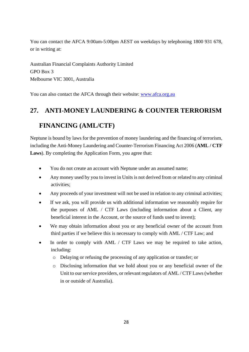You can contact the AFCA 9:00am-5:00pm AEST on weekdays by telephoning 1800 931 678, or in writing at:

Australian Financial Complaints Authority Limited GPO Box 3 Melbourne VIC 3001, Australia

<span id="page-27-0"></span>You can also contact the AFCA through their website: [www.afca.org.au](http://www.afca.org.au/)

# **27. ANTI-MONEY LAUNDERING & COUNTER TERRORISM**

# **FINANCING (AML/CTF)**

Neptune is bound by laws for the prevention of money laundering and the financing of terrorism, including the Anti-Money Laundering and Counter-Terrorism Financing Act 2006 (**AML / CTF Laws**). By completing the Application Form, you agree that:

- You do not create an account with Neptune under an assumed name;
- Any money used by you to invest in Units is not derived from or related to any criminal activities;
- Any proceeds of your investment will not be used in relation to any criminal activities;
- If we ask, you will provide us with additional information we reasonably require for the purposes of AML / CTF Laws (including information about a Client, any beneficial interest in the Account, or the source of funds used to invest);
- We may obtain information about you or any beneficial owner of the account from third parties if we believe this is necessary to comply with AML / CTF Law; and
- In order to comply with AML  $\prime$  CTF Laws we may be required to take action, including:
	- o Delaying or refusing the processing of any application or transfer; or
	- o Disclosing information that we hold about you or any beneficial owner of the Unit to our service providers, or relevant regulators of AML / CTF Laws (whether in or outside of Australia).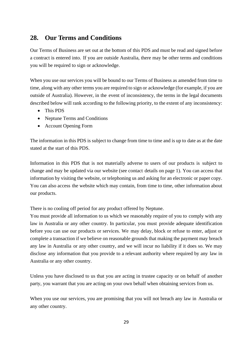# <span id="page-28-0"></span>**28. Our Terms and Conditions**

Our Terms of Business are set out at the bottom of this PDS and must be read and signed before a contract is entered into. If you are outside Australia, there may be other terms and conditions you will be required to sign or acknowledge.

When you use our services you will be bound to our Terms of Business as amended from time to time, along with any other terms you are required to sign or acknowledge (for example, if you are outside of Australia). However, in the event of inconsistency, the terms in the legal documents described below will rank according to the following priority, to the extent of any inconsistency:

- This PDS
- Neptune Terms and Conditions
- Account Opening Form

The information in this PDS is subject to change from time to time and is up to date as at the date stated at the start of this PDS.

Information in this PDS that is not materially adverse to users of our products is subject to change and may be updated via our website (see contact details on page 1). You can access that information by visiting the website, or telephoning us and asking for an electronic or paper copy. You can also access the website which may contain, from time to time, other information about our products.

There is no cooling off period for any product offered by Neptune.

You must provide all information to us which we reasonably require of you to comply with any law in Australia or any other country. In particular, you must provide adequate identification before you can use our products or services. We may delay, block or refuse to enter, adjust or complete a transaction if we believe on reasonable grounds that making the payment may breach any law in Australia or any other country, and we will incur no liability if it does so. We may disclose any information that you provide to a relevant authority where required by any law in Australia or any other country.

Unless you have disclosed to us that you are acting in trustee capacity or on behalf of another party, you warrant that you are acting on your own behalf when obtaining services from us.

When you use our services, you are promising that you will not breach any law in Australia or any other country.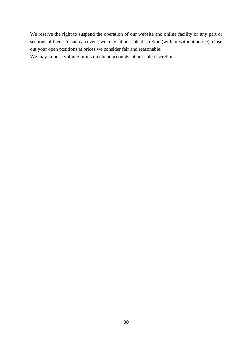We reserve the right to suspend the operation of our website and online facility or any part or sections of them. In such an event, we may, at our sole discretion (with or without notice), close out your open positions at prices we consider fair and reasonable.

We may impose volume limits on client accounts, at our sole discretion.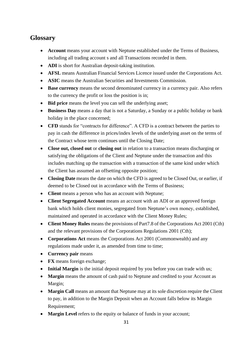# <span id="page-30-0"></span>**Glossary**

- **Account** means your account with Neptune established under the Terms of Business, including all trading account s and all Transactions recorded in them.
- **ADI** is short for Australian deposit-taking institution.
- **AFSL** means Australian Financial Services Licence issued under the Corporations Act.
- **ASIC** means the Australian Securities and Investments Commission.
- **Base currency** means the second denominated currency in a currency pair. Also refers to the currency the profit or loss the position is in;
- **Bid price** means the level you can sell the underlying asset;
- **Business Day** means a day that is not a Saturday, a Sunday or a public holiday or bank holiday in the place concerned;
- **CFD** stands for "contracts for difference". A CFD is a contract between the parties to pay in cash the difference in prices/index levels of the underlying asset on the terms of the Contract whose term continues until the Closing Date;
- **Close out, closed out** or **closing out** in relation to a transaction means discharging or satisfying the obligations of the Client and Neptune under the transaction and this includes matching up the transaction with a transaction of the same kind under which the Client has assumed an offsetting opposite position;
- **Closing Date** means the date on which the CFD is agreed to be Closed Out, or earlier, if deemed to be Closed out in accordance with the Terms of Business;
- **Client** means a person who has an account with Neptune;
- **Client Segregated Account** means an account with an ADI or an approved foreign bank which holds client monies, segregated from Neptune's own money, established, maintained and operated in accordance with the Client Money Rules;
- **Client Money Rules** means the provisions of Part7.8 of the Corporations Act 2001 (Cth) and the relevant provisions of the Corporations Regulations 2001 (Cth);
- **Corporations Act** means the Corporations Act 2001 (Commonwealth) and any regulations made under it, as amended from time to time;
- **Currency pair** means
- **FX** means foreign exchange;
- **Initial Margin** is the initial deposit required by you before you can trade with us;
- **Margin** means the amount of cash paid to Neptune and credited to your Account as Margin;
- **Margin Call** means an amount that Neptune may at its sole discretion require the Client to pay, in addition to the Margin Deposit when an Account falls below its Margin Requirement;
- **Margin Level** refers to the equity or balance of funds in your account;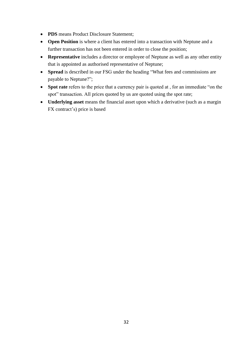- **PDS** means Product Disclosure Statement;
- **Open Position** is where a client has entered into a transaction with Neptune and a further transaction has not been entered in order to close the position;
- **Representative** includes a director or employee of Neptune as well as any other entity that is appointed as authorised representative of Neptune;
- **Spread** is described in our FSG under the heading "What fees and commissions are payable to Neptune?";
- **Spot rate** refers to the price that a currency pair is quoted at , for an immediate "on the spot" transaction. All prices quoted by us are quoted using the spot rate;
- **Underlying asset** means the financial asset upon which a derivative (such as a margin FX contract's) price is based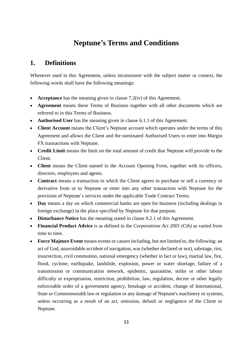# **Neptune's Terms and Conditions**

# <span id="page-32-0"></span>**1. Definitions**

Whenever used in this Agreement, unless inconsistent with the subject matter or context, the following words shall have the following meanings:

- **Acceptance** has the meaning given in clause [7.2](#page-39-1)[\(iv\)](#page-40-0) of this Agreement.
- **Agreement** means these Terms of Business together with all other documents which are referred to in this Terms of Business.
- **Authorised User** has the meaning given in clause 6.1.1 of this Agreement.
- **Client Account** means the Client's Neptune account which operates under the terms of this Agreement and allows the Client and the nominated Authorised Users to enter into Margin FX transactions with Neptune.
- **Credit Limit** means the limit on the total amount of credit that Neptune will provide to the Client.
- **Client** means the Client named in the Account Opening Form, together with its officers, directors, employees and agents.
- **Contract** means a transaction in which the Client agrees to purchase or sell a currency or derivative from or to Neptune or enter into any other transaction with Neptune for the provision of Neptune's services under the applicable Trade Contract Terms.
- **Day** means a day on which commercial banks are open for business (including dealings in foreign exchange) in the place specified by Neptune for that purpose.
- **Disturbance Notice** has the meaning stated in clause 9.2.1 of this Agreement.
- **Financial Product Advice** is as defined in the *Corporations Act 2001 (Cth)* as varied from time to time.
- **Force Majeure Event** means events or causes including, but not limited to, the following: an act of God, unavoidable accident of navigation, war (whether declared or not), sabotage, riot, insurrection, civil commotion, national emergency (whether in fact or law), martial law, fire, flood, cyclone, earthquake, landslide, explosion, power or water shortage, failure of a transmission or communication network, epidemic, quarantine, strike or other labour difficulty or expropriation, restriction, prohibition, law, regulation, decree or other legally enforceable order of a government agency, breakage or accident, change of International, State or Commonwealth law or regulation or any damage of Neptune's machinery or systems, unless occurring as a result of an act, omission, default or negligence of the Client or Neptune.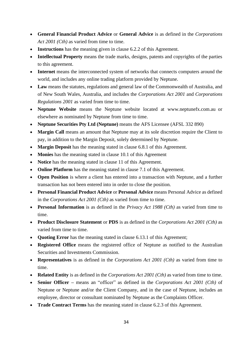- **General Financial Product Advice** or **General Advice** is as defined in the *Corporations*  Act 2001 (Cth) as varied from time to time.
- **Instructions** has the meaning given in clause 6.2.2 of this Agreement.
- **Intellectual Property** means the trade marks, designs, patents and copyrights of the parties to this agreement.
- **Internet** means the interconnected system of networks that connects computers around the world, and includes any online trading platform provided by Neptune.
- **Law** means the statutes, regulations and general law of the Commonwealth of Australia, and of New South Wales, Australia, and includes the *Corporations Act 2001* and *Corporations Regulations 2001* as varied from time to time.
- **Neptune Website** means the Neptune website located at www.neptunefx.com.au or elsewhere as nominated by Neptune from time to time.
- **Neptune Securities Pty Ltd (Neptune)** means the AFS Licensee (AFSL 332 890)
- **Margin Call** means an amount that Neptune may at its sole discretion require the Client to pay, in addition to the Margin Deposit, solely determined by Neptune.
- **Margin Deposit** has the meaning stated in clause 6.8.1 of this Agreement.
- **Monies** has the meaning stated in clause 10.1 of this Agreement
- **Notice** has the meaning stated in clause 11 of this Agreement.
- **Online Platform** has the meaning stated in clause 7.1 of this Agreement.
- **Open Position** is where a client has entered into a transaction with Neptune, and a further transaction has not been entered into in order to close the position.
- **Personal Financial Product Advice** or **Personal Advice** means Personal Advice as defined in the *Corporations Act 2001 (Cth)* as varied from time to time.
- **Personal Information** is as defined in the *Privacy Act 1988 (Cth)* as varied from time to time.
- **Product Disclosure Statement** or **PDS** is as defined in the *Corporations Act 2001 (Cth)* as varied from time to time.
- **Quoting Error** has the meaning stated in clause 6.13.1 of this Agreement;
- **Registered Office** means the registered office of Neptune as notified to the Australian Securities and Investments Commission.
- **Representatives** is as defined in the *Corporations Act 2001 (Cth)* as varied from time to time.
- **Related Entity** is as defined in the *Corporations Act 2001 (Cth)* as varied from time to time.
- **Senior Officer –** means an "officer" as defined in the *Corporations Act 2001 (Cth)* of Neptune or Neptune and/or the Client Company, and in the case of Neptune, includes an employee, director or consultant nominated by Neptune as the Complaints Officer.
- **Trade Contract Terms** has the meaning stated in clause 6.2.3 of this Agreement.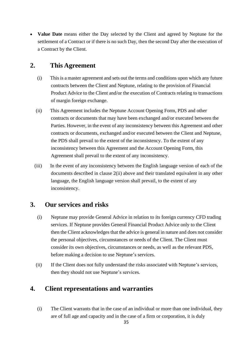• **Value Date** means either the Day selected by the Client and agreed by Neptune for the settlement of a Contract or if there is no such Day, then the second Day after the execution of a Contract by the Client.

# **2. This Agreement**

- (i) This is a master agreement and sets out the terms and conditions upon which any future contracts between the Client and Neptune, relating to the provision of Financial Product Advice to the Client and/or the execution of Contracts relating to transactions of margin foreign exchange.
- <span id="page-34-0"></span>(ii) This Agreement includes the Neptune Account Opening Form, PDS and other contracts or documents that may have been exchanged and/or executed between the Parties. However, in the event of any inconsistency between this Agreement and other contracts or documents, exchanged and/or executed between the Client and Neptune, the PDS shall prevail to the extent of the inconsistency. To the extent of any inconsistency between this Agreement and the Account Opening Form, this Agreement shall prevail to the extent of any inconsistency.
- (iii) In the event of any inconsistency between the English language version of each of the documents described in clause [2\(ii\)](#page-34-0) above and their translated equivalent in any other language, the English language version shall prevail, to the extent of any inconsistency.

# **3. Our services and risks**

- (i) Neptune may provide General Advice in relation to its foreign currency CFD trading services. If Neptune provides General Financial Product Advice only to the Client then the Client acknowledges that the advice is general in nature and does not consider the personal objectives, circumstances or needs of the Client. The Client must consider its own objectives, circumstances or needs, as well as the relevant PDS, before making a decision to use Neptune's services.
- (ii) If the Client does not fully understand the risks associated with Neptune's services, then they should not use Neptune's services.

# **4. Client representations and warranties**

(i) The Client warrants that in the case of an individual or more than one individual, they are of full age and capacity and in the case of a firm or corporation, it is duly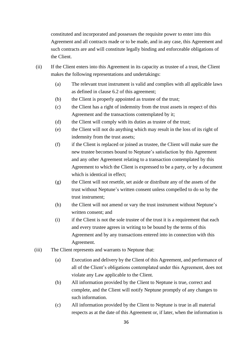constituted and incorporated and possesses the requisite power to enter into this Agreement and all contracts made or to be made, and in any case, this Agreement and such contracts are and will constitute legally binding and enforceable obligations of the Client.

- (ii) If the Client enters into this Agreement in its capacity as trustee of a trust, the Client makes the following representations and undertakings:
	- (a) The relevant trust instrument is valid and complies with all applicable laws as defined in clause [6.2](#page-38-0) of this agreement;
	- (b) the Client is properly appointed as trustee of the trust;
	- (c) the Client has a right of indemnity from the trust assets in respect of this Agreement and the transactions contemplated by it;
	- (d) the Client will comply with its duties as trustee of the trust;
	- (e) the Client will not do anything which may result in the loss of its right of indemnity from the trust assets;
	- (f) if the Client is replaced or joined as trustee, the Client will make sure the new trustee becomes bound to Neptune's satisfaction by this Agreement and any other Agreement relating to a transaction contemplated by this Agreement to which the Client is expressed to be a party, or by a document which is identical in effect;
	- (g) the Client will not resettle, set aside or distribute any of the assets of the trust without Neptune's written consent unless compelled to do so by the trust instrument;
	- (h) the Client will not amend or vary the trust instrument without Neptune's written consent; and
	- (i) if the Client is not the sole trustee of the trust it is a requirement that each and every trustee agrees in writing to be bound by the terms of this Agreement and by any transactions entered into in connection with this Agreement.
- (iii) The Client represents and warrants to Neptune that:
	- (a) Execution and delivery by the Client of this Agreement, and performance of all of the Client's obligations contemplated under this Agreement, does not violate any Law applicable to the Client.
	- (b) All information provided by the Client to Neptune is true, correct and complete, and the Client will notify Neptune promptly of any changes to such information.
	- (c) All information provided by the Client to Neptune is true in all material respects as at the date of this Agreement or, if later, when the information is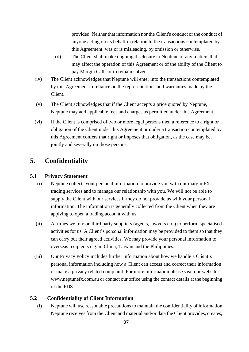provided. Neither that information nor the Client's conduct or the conduct of anyone acting on its behalf in relation to the transactions contemplated by this Agreement, was or is misleading, by omission or otherwise.

- (d) The Client shall make ongoing disclosure to Neptune of any matters that may affect the operation of this Agreement or of the ability of the Client to pay Margin Calls or to remain solvent.
- (iv) The Client acknowledges that Neptune will enter into the transactions contemplated by this Agreement in reliance on the representations and warranties made by the Client.
- (v) The Client acknowledges that if the Client accepts a price quoted by Neptune, Neptune may add applicable fees and charges as permitted under this Agreement.
- (vi) If the Client is comprised of two or more legal persons then a reference to a right or obligation of the Client under this Agreement or under a transaction contemplated by this Agreement confers that right or imposes that obligation, as the case may be, jointly and severally on those persons.

# **5. Confidentiality**

### **5.1 Privacy Statement**

- (i) Neptune collects your personal information to provide you with our margin FX trading services and to manage our relationship with you. We will not be able to supply the Client with our services if they do not provide us with your personal information. The information is generally collected from the Client when they are applying to open a trading account with us.
- (ii) At times we rely on third party suppliers (agents, lawyers etc.) to perform specialised activities for us. A Client's personal information may be provided to them so that they can carry out their agreed activities. We may provide your personal information to overseas recipients e.g. in China, Taiwan and the Philippines.
- (iii) Our Privacy Policy includes further information about how we handle a Client's personal information including how a Client can access and correct their information or make a privacy related complaint. For more information please visit our website: www.neptunefx.com.au or contact our office using the contact details at the beginning of the PDS.

### **5.2 Confidentiality of Client Information**

<span id="page-36-0"></span>(i) Neptune will use reasonable precautions to maintain the confidentiality of information Neptune receives from the Client and material and/or data the Client provides, creates,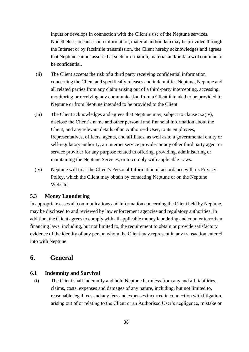inputs or develops in connection with the Client's use of the Neptune services. Nonetheless, because such information, material and/or data may be provided through the Internet or by facsimile transmission, the Client hereby acknowledges and agrees that Neptune cannot assure that such information, material and/or data will continue to be confidential.

- (ii) The Client accepts the risk of a third party receiving confidential information concerning the Client and specifically releases and indemnifies Neptune, Neptune and all related parties from any claim arising out of a third-party intercepting, accessing, monitoring or receiving any communication from a Client intended to be provided to Neptune or from Neptune intended to be provided to the Client.
- (iii) The Client acknowledges and agrees that Neptune may, subject to clause [5.2](#page-36-0)[\(iv\),](#page-37-0) disclose the Client's name and other personal and financial information about the Client, and any relevant details of an Authorised User, to its employees, Representatives, officers, agents, and affiliates, as well as to a governmental entity or self-regulatory authority, an Internet service provider or any other third party agent or service provider for any purpose related to offering, providing, administering or maintaining the Neptune Services, or to comply with applicable Laws.
- <span id="page-37-0"></span>(iv) Neptune will treat the Client's Personal Information in accordance with its Privacy Policy, which the Client may obtain by contacting Neptune or on the Neptune Website.

### **5.3 Money Laundering**

In appropriate cases all communications and information concerning the Client held by Neptune, may be disclosed to and reviewed by law enforcement agencies and regulatory authorities. In addition, the Client agrees to comply with all applicable money laundering and counter terrorism financing laws, including, but not limited to, the requirement to obtain or provide satisfactory evidence of the identity of any person whom the Client may represent in any transaction entered into with Neptune.

### **6. General**

### **6.1 Indemnity and Survival**

(i) The Client shall indemnify and hold Neptune harmless from any and all liabilities, claims, costs, expenses and damages of any nature, including, but not limited to, reasonable legal fees and any fees and expenses incurred in connection with litigation, arising out of or relating to the Client or an Authorised User's negligence, mistake or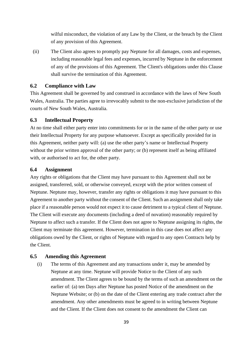wilful misconduct, the violation of any Law by the Client, or the breach by the Client of any provision of this Agreement.

(ii) The Client also agrees to promptly pay Neptune for all damages, costs and expenses, including reasonable legal fees and expenses, incurred by Neptune in the enforcement of any of the provisions of this Agreement. The Client's obligations under this Clause shall survive the termination of this Agreement.

### <span id="page-38-0"></span>**6.2 Compliance with Law**

This Agreement shall be governed by and construed in accordance with the laws of New South Wales, Australia. The parties agree to irrevocably submit to the non-exclusive jurisdiction of the courts of New South Wales, Australia.

### **6.3 Intellectual Property**

At no time shall either party enter into commitments for or in the name of the other party or use their Intellectual Property for any purpose whatsoever. Except as specifically provided for in this Agreement, neither party will: (a) use the other party's name or Intellectual Property without the prior written approval of the other party; or (b) represent itself as being affiliated with, or authorised to act for, the other party.

#### **6.4 Assignment**

Any rights or obligations that the Client may have pursuant to this Agreement shall not be assigned, transferred, sold, or otherwise conveyed, except with the prior written consent of Neptune. Neptune may, however, transfer any rights or obligations it may have pursuant to this Agreement to another party without the consent of the Client. Such an assignment shall only take place if a reasonable person would not expect it to cause detriment to a typical client of Neptune. The Client will execute any documents (including a deed of novation) reasonably required by Neptune to affect such a transfer. If the Client does not agree to Neptune assigning its rights, the Client may terminate this agreement. However, termination in this case does not affect any obligations owed by the Client, or rights of Neptune with regard to any open Contracts help by the Client.

### **6.5 Amending this Agreement**

(i) The terms of this Agreement and any transactions under it, may be amended by Neptune at any time. Neptune will provide Notice to the Client of any such amendment. The Client agrees to be bound by the terms of such an amendment on the earlier of: (a) ten Days after Neptune has posted Notice of the amendment on the Neptune Website; or (b) on the date of the Client entering any trade contract after the amendment. Any other amendments must be agreed to in writing between Neptune and the Client. If the Client does not consent to the amendment the Client can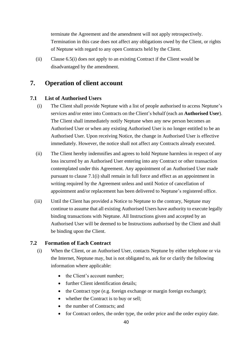terminate the Agreement and the amendment will not apply retrospectively. Termination in this case does not affect any obligations owed by the Client, or rights of Neptune with regard to any open Contracts held by the Client.

(ii) Clause 6.5(i) does not apply to an existing Contract if the Client would be disadvantaged by the amendment.

# <span id="page-39-0"></span>**7. Operation of client account**

### <span id="page-39-3"></span><span id="page-39-2"></span>**7.1 List of Authorised Users**

- (i) The Client shall provide Neptune with a list of people authorised to access Neptune's services and/or enter into Contracts on the Client's behalf (each an **Authorised User**). The Client shall immediately notify Neptune when any new person becomes an Authorised User or when any existing Authorised User is no longer entitled to be an Authorised User. Upon receiving Notice, the change in Authorised User is effective immediately. However, the notice shall not affect any Contracts already executed.
- (ii) The Client hereby indemnifies and agrees to hold Neptune harmless in respect of any loss incurred by an Authorised User entering into any Contract or other transaction contemplated under this Agreement. Any appointment of an Authorised User made pursuant to clause [7.1](#page-39-2)[\(i\)](#page-39-3) shall remain in full force and effect as an appointment in writing required by the Agreement unless and until Notice of cancellation of appointment and/or replacement has been delivered to Neptune's registered office.
- (iii) Until the Client has provided a Notice to Neptune to the contrary, Neptune may continue to assume that all existing Authorised Users have authority to execute legally binding transactions with Neptune. All Instructions given and accepted by an Authorised User will be deemed to be Instructions authorised by the Client and shall be binding upon the Client.

### <span id="page-39-4"></span><span id="page-39-1"></span>**7.2 Formation of Each Contract**

- (i) When the Client, or an Authorised User, contacts Neptune by either telephone or via the Internet, Neptune may, but is not obligated to, ask for or clarify the following information where applicable:
	- the Client's account number;
	- further Client identification details;
	- the Contract type (e.g. foreign exchange or margin foreign exchange);
	- whether the Contract is to buy or sell;
	- the number of Contracts; and
	- for Contract orders, the order type, the order price and the order expiry date.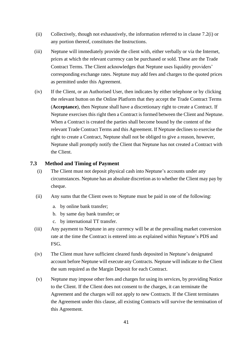- (ii) Collectively, though not exhaustively, the information referred to in clause 7.[2\(i\)](#page-39-4) or any portion thereof, constitutes the Instructions.
- (iii) Neptune will immediately provide the client with, either verbally or via the Internet, prices at which the relevant currency can be purchased or sold. These are the Trade Contract Terms. The Client acknowledges that Neptune uses liquidity providers' corresponding exchange rates. Neptune may add fees and charges to the quoted prices as permitted under this Agreement.
- <span id="page-40-0"></span>(iv) If the Client, or an Authorised User, then indicates by either telephone or by clicking the relevant button on the Online Platform that they accept the Trade Contract Terms (**Acceptance**), then Neptune shall have a discretionary right to create a Contract. If Neptune exercises this right then a Contract is formed between the Client and Neptune. When a Contract is created the parties shall become bound by the content of the relevant Trade Contract Terms and this Agreement. If Neptune declines to exercise the right to create a Contract, Neptune shall not be obliged to give a reason, however, Neptune shall promptly notify the Client that Neptune has not created a Contract with the Client.

### <span id="page-40-1"></span>**7.3 Method and Timing of Payment**

- (i) The Client must not deposit physical cash into Neptune's accounts under any circumstances. Neptune has an absolute discretion as to whether the Client may pay by cheque.
- (ii) Any sums that the Client owes to Neptune must be paid in one of the following:
	- a. by online bank transfer;
	- b. by same day bank transfer; or
	- c. by international TT transfer.
- (iii) Any payment to Neptune in any currency will be at the prevailing market conversion rate at the time the Contract is entered into as explained within Neptune's PDS and FSG.
- (iv) The Client must have sufficient cleared funds deposited in Neptune's designated account before Neptune will execute any Contracts. Neptune will indicate to the Client the sum required as the Margin Deposit for each Contract.
- (v) Neptune may impose other fees and charges for using its services, by providing Notice to the Client. If the Client does not consent to the charges, it can terminate the Agreement and the charges will not apply to new Contracts. If the Client terminates the Agreement under this clause, all existing Contracts will survive the termination of this Agreement.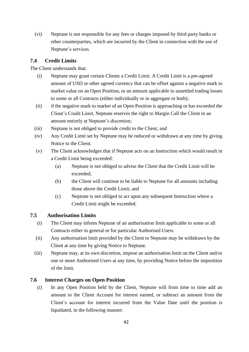(vi) Neptune is not responsible for any fees or charges imposed by third party banks or other counterparties, which are incurred by the Client in connection with the use of Neptune's services.

### **7.4 Credit Limits**

The Client understands that:

- (i) Neptune may grant certain Clients a Credit Limit. A Credit Limit is a pre-agreed amount of USD or other agreed currency that can be offset against a negative mark to market value on an Open Position, or an amount applicable to unsettled trading losses to some or all Contracts (either individually or in aggregate or both);
- (ii) if the negative mark to market of an Open Position is approaching or has exceeded the Client's Credit Limit, Neptune reserves the right to Margin Call the Client in an amount entirely at Neptune's discretion;
- (iii) Neptune is not obliged to provide credit to the Client; and
- (iv) Any Credit Limit set by Neptune may be reduced or withdrawn at any time by giving Notice to the Client.
- (v) The Client acknowledges that if Neptune acts on an Instruction which would result in a Credit Limit being exceeded:
	- (a) Neptune is not obliged to advise the Client that the Credit Limit will be exceeded;
	- (b) the Client will continue to be liable to Neptune for all amounts including those above the Credit Limit; and
	- (c) Neptune is not obliged to act upon any subsequent Instruction where a Credit Limit might be exceeded.

### **7.5 Authorisation Limits**

- (i) The Client may inform Neptune of an authorisation limit applicable to some or all Contracts either in general or for particular Authorised Users.
- (ii) Any authorisation limit provided by the Client to Neptune may be withdrawn by the Client at any time by giving Notice to Neptune.
- (iii) Neptune may, at its own discretion, impose an authorisation limit on the Client and/or one or more Authorised Users at any time, by providing Notice before the imposition of the limit.

### **7.6 Interest Charges on Open Position**

(i) In any Open Position held by the Client, Neptune will from time to time add an amount to the Client Account for interest earned, or subtract an amount from the Client's account for interest incurred from the Value Date until the position is liquidated, in the following manner: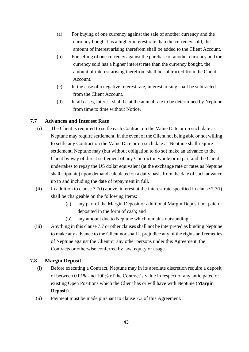- (a) For buying of one currency against the sale of another currency and the currency bought has a higher interest rate than the currency sold, the amount of interest arising therefrom shall be added to the Client Account.
- (b) For selling of one currency against the purchase of another currency and the currency sold has a higher interest rate than the currency bought, the amount of interest arising therefrom shall be subtracted from the Client Account.
- (c) In the case of a negative interest rate, interest arising shall be subtracted from the Client Account.
- (d) In all cases, interest shall be at the annual rate to be determined by Neptune from time to time without Notice.

### <span id="page-42-1"></span><span id="page-42-0"></span>**7.7 Advances and Interest Rate**

- (i) The Client is required to settle each Contract on the Value Date or on such date as Neptune may require settlement. In the event of the Client not being able or not willing to settle any Contract on the Value Date or on such date as Neptune shall require settlement, Neptune may (but without obligation to do so) make an advance to the Client by way of direct settlement of any Contract in whole or in part and the Client undertakes to repay the US dollar equivalent (at the exchange rate or rates as Neptune shall stipulate) upon demand calculated on a daily basis from the date of such advance up to and including the date of repayment in full.
- (ii) In addition to clause 7.[7\(i\)](#page-42-0) above, interest at the interest rate specified in clause 7.7(i) shall be chargeable on the following items:
	- (a) any part of the Margin Deposit or additional Margin Deposit not paid or deposited in the form of cash; and
	- (b) any amount due to Neptune which remains outstanding.
- (iii) Anything in this claus[e 7.7](#page-42-1) or other clauses shall not be interpreted as binding Neptune to make any advance to the Client nor shall it prejudice any of the rights and remedies of Neptune against the Client or any other persons under this Agreement, the Contracts or otherwise conferred by law, equity or usage.

### **7.8 Margin Deposit**

- (i) Before executing a Contract, Neptune may in its absolute discretion require a deposit of between 0.01% and 100% of the Contract's value in respect of any anticipated or existing Open Positions which the Client has or will have with Neptune (**Margin Deposit**).
- (ii) Payment must be made pursuant to clause [7.3](#page-40-1) of this Agreement.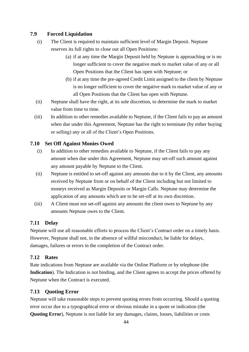### **7.9 Forced Liquidation**

- (i) The Client is required to maintain sufficient level of Margin Deposit. Neptune reserves its full rights to close out all Open Positions:
	- (a) if at any time the Margin Deposit held by Neptune is approaching or is no longer sufficient to cover the negative mark to market value of any or all Open Positions that the Client has open with Neptune; or
	- (b) if at any time the pre-agreed Credit Limit assigned to the client by Neptune is no longer sufficient to cover the negative mark to market value of any or all Open Positions that the Client has open with Neptune.
- (ii) Neptune shall have the right, at its sole discretion, to determine the mark to market value from time to time.
- (iii) In addition to other remedies available to Neptune, if the Client fails to pay an amount when due under this Agreement, Neptune has the right to terminate (by either buying or selling) any or all of the Client's Open Positions.

### **7.10 Set Off Against Monies Owed**

- (i) In addition to other remedies available to Neptune, if the Client fails to pay any amount when due under this Agreement, Neptune may set-off such amount against any amount payable by Neptune to the Client.
- (ii) Neptune is entitled to set-off against any amounts due to it by the Client, any amounts received by Neptune from or on behalf of the Client including but not limited to moneys received as Margin Deposits or Margin Calls. Neptune may determine the application of any amounts which are to be set-off at its own discretion.
- (iii) A Client must not set-off against any amounts the client owes to Neptune by any amounts Neptune owes to the Client.

### **7.11 Delay**

Neptune will use all reasonable efforts to process the Client's Contract order on a timely basis. However, Neptune shall not, in the absence of willful misconduct, be liable for delays, damages, failures or errors in the completion of the Contract order.

### **7.12 Rates**

Rate indications from Neptune are available via the Online Platform or by telephone (the Indication. The Indication is not binding, and the Client agrees to accept the prices offered by Neptune when the Contract is executed.

### **7.13 Quoting Error**

Neptune will take reasonable steps to prevent quoting errors from occurring. Should a quoting error occur due to a typographical error or obvious mistake in a quote or indication (the **Quoting Error**), Neptune is not liable for any damages, claims, losses, liabilities or costs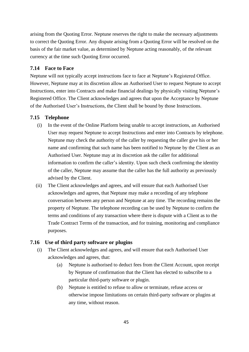arising from the Quoting Error. Neptune reserves the right to make the necessary adjustments to correct the Quoting Error. Any dispute arising from a Quoting Error will be resolved on the basis of the fair market value, as determined by Neptune acting reasonably, of the relevant currency at the time such Quoting Error occurred.

### **7.14 Face to Face**

Neptune will not typically accept instructions face to face at Neptune's Registered Office. However, Neptune may at its discretion allow an Authorised User to request Neptune to accept Instructions, enter into Contracts and make financial dealings by physically visiting Neptune's Registered Office. The Client acknowledges and agrees that upon the Acceptance by Neptune of the Authorised User's Instructions, the Client shall be bound by those Instructions.

### **7.15 Telephone**

- (i) In the event of the Online Platform being unable to accept instructions, an Authorised User may request Neptune to accept Instructions and enter into Contracts by telephone. Neptune may check the authority of the caller by requesting the caller give his or her name and confirming that such name has been notified to Neptune by the Client as an Authorised User. Neptune may at its discretion ask the caller for additional information to confirm the caller's identity. Upon such check confirming the identity of the caller, Neptune may assume that the caller has the full authority as previously advised by the Client.
- (ii) The Client acknowledges and agrees, and will ensure that each Authorised User acknowledges and agrees, that Neptune may make a recording of any telephone conversation between any person and Neptune at any time. The recording remains the property of Neptune. The telephone recording can be used by Neptune to confirm the terms and conditions of any transaction where there is dispute with a Client as to the Trade Contract Terms of the transaction, and for training, monitoring and compliance purposes.

### **7.16 Use of third party software or plugins**

- (i) The Client acknowledges and agrees, and will ensure that each Authorised User acknowledges and agrees, that:
	- (a) Neptune is authorised to deduct fees from the Client Account, upon receipt by Neptune of confirmation that the Client has elected to subscribe to a particular third-party software or plugin.
	- (b) Neptune is entitled to refuse to allow or terminate, refuse access or otherwise impose limitations on certain third-party software or plugins at any time, without reason.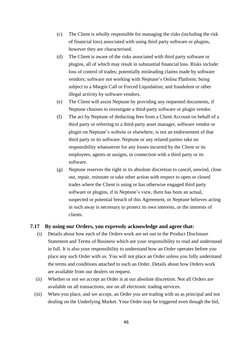- (c) The Client is wholly responsible for managing the risks (including the risk of financial loss) associated with using third party software or plugins, however they are characterised.
- (d) The Client is aware of the risks associated with third party software or plugins, all of which may result in substantial financial loss. Risks include: loss of control of trades; potentially misleading claims made by software vendors; software not working with Neptune's Online Platform; being subject to a Margin Call or Forced Liquidation; and fraudulent or other illegal activity by software vendors.
- (e) The Client will assist Neptune by providing any requested documents, if Neptune chooses to investigate a third-party software or plugin vendor.
- (f) The act by Neptune of deducting fees from a Client Account on behalf of a third party or referring to a third-party asset manager, software vendor or plugin on Neptune's website or elsewhere, is not an endorsement of that third party or its software. Neptune or any related parties take no responsibility whatsoever for any losses incurred by the Client or its employees, agents or assigns, in connection with a third party or its software.
- (g) Neptune reserves the right in its absolute discretion to cancel, unwind, close out, repair, reinstate or take other action with respect to open or closed trades where the Client is using or has otherwise engaged third party software or plugins, if in Neptune's view, there has been an actual, suspected or potential breach of this Agreement, or Neptune believes acting in such away is necessary to protect its own interests, or the interests of clients.

### **7.17 By using our Orders, you expressly acknowledge and agree that:**

- (i) Details about how each of the Orders work are set out in the Product Disclosure Statement and Terms of Business which are your responsibility to read and understand in full. It is also your responsibility to understand how an Order operates before you place any such Order with us. You will not place an Order unless you fully understand the terms and conditions attached to such an Order. Details about how Orders work are available from our dealers on request.
- (ii) Whether or not we accept an Order is at our absolute discretion. Not all Orders are available on all transactions, nor on all electronic trading services.
- (iii) When you place, and we accept, an Order you are trading with us as principal and not dealing on the Underlying Market. Your Order may be triggered even though the bid,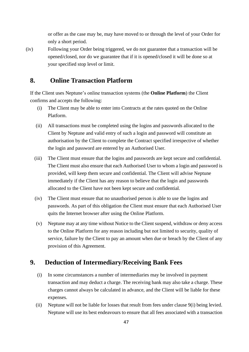or offer as the case may be, may have moved to or through the level of your Order for only a short period.

(iv) Following your Order being triggered, we do not guarantee that a transaction will be opened/closed, nor do we guarantee that if it is opened/closed it will be done so at your specified stop level or limit.

# **8. Online Transaction Platform**

If the Client uses Neptune's online transaction systems (the **Online Platform**) the Client confirms and accepts the following:

- (i) The Client may be able to enter into Contracts at the rates quoted on the Online Platform.
- (ii) All transactions must be completed using the logins and passwords allocated to the Client by Neptune and valid entry of such a login and password will constitute an authorisation by the Client to complete the Contract specified irrespective of whether the login and password are entered by an Authorised User.
- (iii) The Client must ensure that the logins and passwords are kept secure and confidential. The Client must also ensure that each Authorised User to whom a login and password is provided, will keep them secure and confidential. The Client will advise Neptune immediately if the Client has any reason to believe that the login and passwords allocated to the Client have not been kept secure and confidential.
- (iv) The Client must ensure that no unauthorised person is able to use the logins and passwords. As part of this obligation the Client must ensure that each Authorised User quits the Internet browser after using the Online Platform.
- (v) Neptune may at any time without Notice to the Client suspend, withdraw or deny access to the Online Platform for any reason including but not limited to security, quality of service, failure by the Client to pay an amount when due or breach by the Client of any provision of this Agreement.

# <span id="page-46-0"></span>**9. Deduction of Intermediary/Receiving Bank Fees**

- <span id="page-46-1"></span>(i) In some circumstances a number of intermediaries may be involved in payment transaction and may deduct a charge. The receiving bank may also take a charge. These charges cannot always be calculated in advance, and the Client will be liable for these expenses.
- (ii) Neptune will not be liable for losses that result from fees under clause [9](#page-46-0)[\(i\)](#page-46-1) being levied. Neptune will use its best endeavours to ensure that all fees associated with a transaction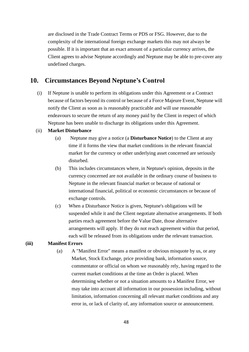are disclosed in the Trade Contract Terms or PDS or FSG. However, due to the complexity of the international foreign exchange markets this may not always be possible. If it is important that an exact amount of a particular currency arrives, the Client agrees to advise Neptune accordingly and Neptune may be able to pre-cover any undefined charges.

# **10. Circumstances Beyond Neptune's Control**

(i) If Neptune is unable to perform its obligations under this Agreement or a Contract because of factors beyond its control or because of a Force Majeure Event, Neptune will notify the Client as soon as is reasonably practicable and will use reasonable endeavours to secure the return of any money paid by the Client in respect of which Neptune has been unable to discharge its obligations under this Agreement.

#### (ii) **Market Disturbance**

- (a) Neptune may give a notice (a **Disturbance Notice**) to the Client at any time if it forms the view that market conditions in the relevant financial market for the currency or other underlying asset concerned are seriously disturbed.
- (b) This includes circumstances where, in Neptune's opinion, deposits in the currency concerned are not available in the ordinary course of business to Neptune in the relevant financial market or because of national or international financial, political or economic circumstances or because of exchange controls.
- (c) When a Disturbance Notice is given, Neptune's obligations will be suspended while it and the Client negotiate alternative arrangements. If both parties reach agreement before the Value Date, those alternative arrangements will apply. If they do not reach agreement within that period, each will be released from its obligations under the relevant transaction.

#### **(iii) Manifest Errors**

(a) A "Manifest Error" means a manifest or obvious misquote by us, or any Market, Stock Exchange, price providing bank, information source, commentator or official on whom we reasonably rely, having regard to the current market conditions at the time an Order is placed. When determining whether or not a situation amounts to a Manifest Error, we may take into account all information in our possession including, without limitation, information concerning all relevant market conditions and any error in, or lack of clarity of, any information source or announcement.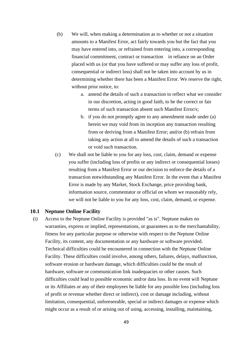- (b) We will, when making a determination as to whether or not a situation amounts to a Manifest Error, act fairly towards you but the fact that you may have entered into, or refrained from entering into, a corresponding financial commitment, contract or transaction in reliance on an Order placed with us (or that you have suffered or may suffer any loss of profit, consequential or indirect loss) shall not be taken into account by us in determining whether there has been a Manifest Error. We reserve the right, without prior notice, to:
	- a. amend the details of such a transaction to reflect what we consider in our discretion, acting in good faith, to be the correct or fair terms of such transaction absent such Manifest Error/s;
	- b. if you do not promptly agree to any amendment made under (a) herein we may void from its inception any transaction resulting from or deriving from a Manifest Error; and/or (b) refrain from taking any action at all to amend the details of such a transaction or void such transaction.
- (c) We shall not be liable to you for any loss, cost, claim, demand or expense you suffer (including loss of profits or any indirect or consequential losses) resulting from a Manifest Error or our decision to enforce the details of a transaction notwithstanding any Manifest Error. In the event that a Manifest Error is made by any Market, Stock Exchange, price providing bank, information source, commentator or official on whom we reasonably rely, we will not be liable to you for any loss, cost, claim, demand, or expense.

### **10.1 Neptune Online Facility**

(i) Access to the Neptune Online Facility is provided "as is". Neptune makes no warranties, express or implied, representations, or guarantees as to the merchantability, fitness for any particular purpose or otherwise with respect to the Neptune Online Facility, its content, any documentation or any hardware or software provided. Technical difficulties could be encountered in connection with the Neptune Online Facility. These difficulties could involve, among others, failures, delays, malfunction, software erosion or hardware damage, which difficulties could be the result of hardware, software or communication link inadequacies or other causes. Such difficulties could lead to possible economic and/or data loss. In no event will Neptune or its Affiliates or any of their employees be liable for any possible loss (including loss of profit or revenue whether direct or indirect), cost or damage including, without limitation, consequential, unforeseeable, special or indirect damages or expense which might occur as a result of or arising out of using, accessing, installing, maintaining,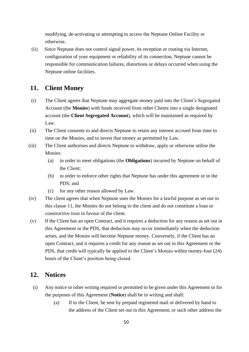modifying, de-activating or attempting to access the Neptune Online Facility or otherwise.

(ii) Since Neptune does not control signal power, its reception or routing via Internet, configuration of your equipment or reliability of its connection, Neptune cannot be responsible for communication failures, distortions or delays occurred when using the Neptune online facilities.

# <span id="page-49-0"></span>**11. Client Money**

- (i) The Client agrees that Neptune may aggregate money paid into the Client's Segregated Account (the **Monies**) with funds received from other Clients into a single designated account (the **Client Segregated Account**), which will be maintained as required by Law.
- (ii) The Client consents to and directs Neptune to retain any interest accrued from time to time on the Monies, and to invest that money as permitted by Law.
- (iii) The Client authorises and directs Neptune to withdraw, apply or otherwise utilise the Monies:
	- (a) in order to meet obligations (the **Obligations**) incurred by Neptune on behalf of the Client;
	- (b) in order to enforce other rights that Neptune has under this agreement or in the PDS; and
	- (c) for any other reason allowed by Law.
- (iv) The client agrees that when Neptune uses the Monies for a lawful purpose as set out in this clause [11,](#page-49-0) the Monies do not belong to the client and do not constitute a loan or constructive trust in favour of the client.
- (v) If the Client has an open Contract, and it requires a deduction for any reason as set out in this Agreement or the PDS, that deduction may occur immediately when the deduction arises, and the Monies will become Neptune money. Conversely, if the Client has an open Contract, and it requires a credit for any reason as set out in this Agreement or the PDS, that credit will typically be applied to the Client's Monies within twenty-four (24) hours of the Client's position being closed.

# **12. Notices**

- (i) Any notice or other writing required or permitted to be given under this Agreement or for the purposes of this Agreement (**Notice**) shall be in writing and shall:
	- (a) If to the Client, be sent by prepaid registered mail or delivered by hand to the address of the Client set out in this Agreement, or such other address the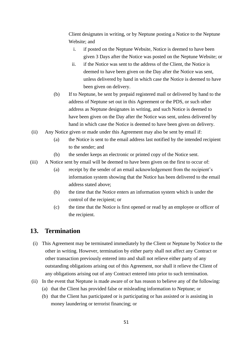Client designates in writing, or by Neptune posting a Notice to the Neptune Website; and

- i. if posted on the Neptune Website, Notice is deemed to have been given 3 Days after the Notice was posted on the Neptune Website; or
- ii. if the Notice was sent to the address of the Client, the Notice is deemed to have been given on the Day after the Notice was sent, unless delivered by hand in which case the Notice is deemed to have been given on delivery.
- (b) If to Neptune, be sent by prepaid registered mail or delivered by hand to the address of Neptune set out in this Agreement or the PDS, or such other address as Neptune designates in writing, and such Notice is deemed to have been given on the Day after the Notice was sent, unless delivered by hand in which case the Notice is deemed to have been given on delivery.
- (ii) Any Notice given or made under this Agreement may also be sent by email if:
	- (a) the Notice is sent to the email address last notified by the intended recipient to the sender; and
	- (b) the sender keeps an electronic or printed copy of the Notice sent.
- (iii) A Notice sent by email will be deemed to have been given on the first to occur of:
	- (a) receipt by the sender of an email acknowledgement from the recipient's information system showing that the Notice has been delivered to the email address stated above;
	- (b) the time that the Notice enters an information system which is under the control of the recipient; or
	- (c) the time that the Notice is first opened or read by an employee or officer of the recipient.

### **13. Termination**

- (i) This Agreement may be terminated immediately by the Client or Neptune by Notice to the other in writing. However, termination by either party shall not affect any Contract or other transaction previously entered into and shall not relieve either party of any outstanding obligations arising out of this Agreement, nor shall it relieve the Client of any obligations arising out of any Contract entered into prior to such termination.
- (ii) In the event that Neptune is made aware of or has reason to believe any of the following:
	- (a) that the Client has provided false or misleading information to Neptune; or
	- (b) that the Client has participated or is participating or has assisted or is assisting in money laundering or terrorist financing; or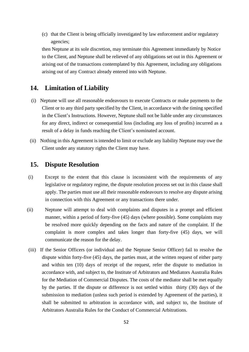(c) that the Client is being officially investigated by law enforcement and/or regulatory agencies;

then Neptune at its sole discretion, may terminate this Agreement immediately by Notice to the Client, and Neptune shall be relieved of any obligations set out in this Agreement or arising out of the transactions contemplated by this Agreement, including any obligations arising out of any Contract already entered into with Neptune.

# **14. Limitation of Liability**

- (i) Neptune will use all reasonable endeavours to execute Contracts or make payments to the Client or to any third party specified by the Client, in accordance with the timing specified in the Client's Instructions. However, Neptune shall not be liable under any circumstances for any direct, indirect or consequential loss (including any loss of profits) incurred as a result of a delay in funds reaching the Client's nominated account.
- (ii) Nothing in this Agreement is intended to limit or exclude any liability Neptune may owe the Client under any statutory rights the Client may have.

# **15. Dispute Resolution**

- (i) Except to the extent that this clause is inconsistent with the requirements of any legislative or regulatory regime, the dispute resolution process set out in this clause shall apply. The parties must use all their reasonable endeavours to resolve any dispute arising in connection with this Agreement or any transactions there under.
- (ii) Neptune will attempt to deal with complaints and disputes in a prompt and efficient manner, within a period of forty-five (45) days (where possible). Some complaints may be resolved more quickly depending on the facts and nature of the complaint. If the complaint is more complex and takes longer than forty-five (45) days, we will communicate the reason for the delay.
- (iii) If the Senior Officers (or individual and the Neptune Senior Officer) fail to resolve the dispute within forty-five (45) days, the parties must, at the written request of either party and within ten (10) days of receipt of the request, refer the dispute to mediation in accordance with, and subject to, the Institute of Arbitrators and Mediators Australia Rules for the Mediation of Commercial Disputes. The costs of the mediator shall be met equally by the parties. If the dispute or difference is not settled within thirty (30) days of the submission to mediation (unless such period is extended by Agreement of the parties), it shall be submitted to arbitration in accordance with, and subject to, the Institute of Arbitrators Australia Rules for the Conduct of Commercial Arbitrations.